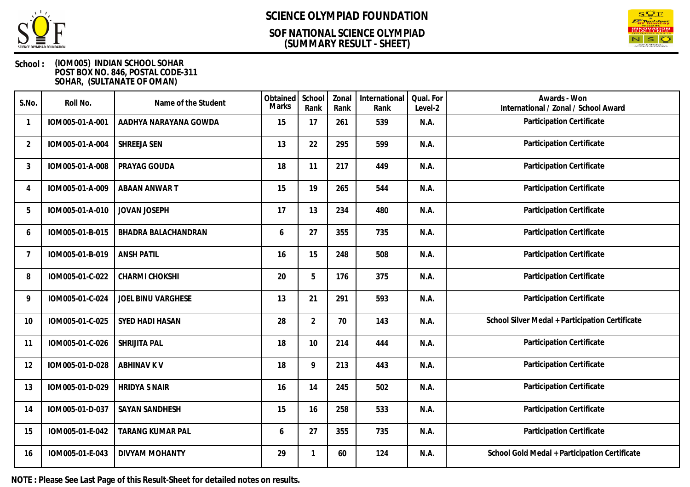

### **(SUMMARY RESULT - SHEET) SOF NATIONAL SCIENCE OLYMPIAD**



### **School : (IOM005) INDIAN SCHOOL SOHAR POST BOX NO. 846, POSTAL CODE-311 SOHAR, (SULTANATE OF OMAN)**

| S.No.                    | Roll No.        | Name of the Student     | Obtained<br><b>Marks</b> | School<br>Rank | Zonal<br>Rank | International<br>Rank | Qual. For<br>Level-2 | Awards - Won<br>International / Zonal / School Award |
|--------------------------|-----------------|-------------------------|--------------------------|----------------|---------------|-----------------------|----------------------|------------------------------------------------------|
| $\overline{\phantom{a}}$ | IOM005-01-A-001 | AADHYA NARAYANA GOWDA   | 15                       | 17             | 261           | 539                   | N.A.                 | Participation Certificate                            |
| $\overline{2}$           | IOM005-01-A-004 | SHREEJA SEN             | 13                       | 22             | 295           | 599                   | N.A.                 | Participation Certificate                            |
| 3                        | IOM005-01-A-008 | PRAYAG GOUDA            | 18                       | 11             | 217           | 449                   | N.A.                 | Participation Certificate                            |
| 4                        | IOM005-01-A-009 | ABAAN ANWAR T           | 15                       | 19             | 265           | 544                   | N.A.                 | Participation Certificate                            |
| 5                        | IOM005-01-A-010 | JOVAN JOSEPH            | 17                       | 13             | 234           | 480                   | N.A.                 | Participation Certificate                            |
| 6                        | IOM005-01-B-015 | BHADRA BALACHANDRAN     | 6                        | 27             | 355           | 735                   | N.A.                 | Participation Certificate                            |
| $\overline{7}$           | IOM005-01-B-019 | <b>ANSH PATIL</b>       | 16                       | 15             | 248           | 508                   | N.A.                 | Participation Certificate                            |
| 8                        | IOM005-01-C-022 | CHARMI CHOKSHI          | 20                       | 5              | 176           | 375                   | N.A.                 | Participation Certificate                            |
| 9                        | IOM005-01-C-024 | JOEL BINU VARGHESE      | 13                       | 21             | 291           | 593                   | N.A.                 | Participation Certificate                            |
| 10                       | IOM005-01-C-025 | SYED HADI HASAN         | 28                       | $\overline{2}$ | 70            | 143                   | N.A.                 | School Silver Medal + Participation Certificate      |
| 11                       | IOM005-01-C-026 | SHRIJITA PAL            | 18                       | 10             | 214           | 444                   | N.A.                 | Participation Certificate                            |
| 12                       | IOM005-01-D-028 | <b>ABHINAV K V</b>      | 18                       | 9              | 213           | 443                   | N.A.                 | Participation Certificate                            |
| 13                       | IOM005-01-D-029 | <b>HRIDYA S NAIR</b>    | 16                       | 14             | 245           | 502                   | N.A.                 | Participation Certificate                            |
| 14                       | IOM005-01-D-037 | SAYAN SANDHESH          | 15                       | 16             | 258           | 533                   | N.A.                 | Participation Certificate                            |
| 15                       | IOM005-01-E-042 | <b>TARANG KUMAR PAL</b> | 6                        | 27             | 355           | 735                   | N.A.                 | Participation Certificate                            |
| 16                       | IOM005-01-E-043 | DIVYAM MOHANTY          | 29                       | 1              | 60            | 124                   | N.A.                 | School Gold Medal + Participation Certificate        |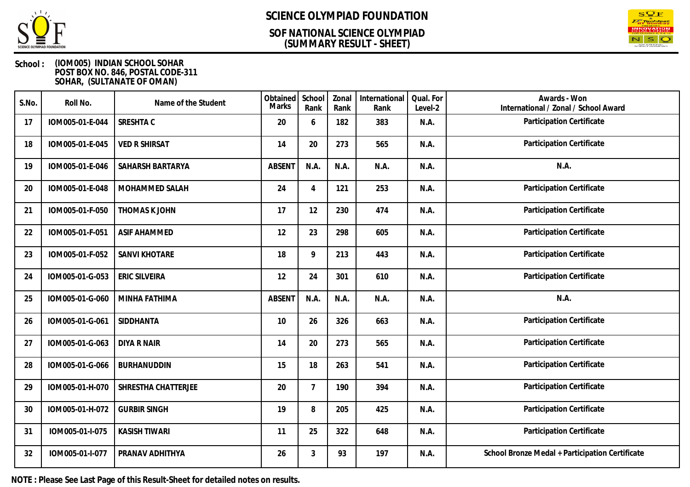

### **(SUMMARY RESULT - SHEET) SOF NATIONAL SCIENCE OLYMPIAD**



### **School : (IOM005) INDIAN SCHOOL SOHAR POST BOX NO. 846, POSTAL CODE-311 SOHAR, (SULTANATE OF OMAN)**

| S.No. | Roll No.        | Name of the Student  | Obtained<br>Marks | School<br>Rank  | Zonal<br>Rank | International<br>Rank | Qual. For<br>Level-2 | Awards - Won<br>International / Zonal / School Award |
|-------|-----------------|----------------------|-------------------|-----------------|---------------|-----------------------|----------------------|------------------------------------------------------|
| 17    | IOM005-01-E-044 | SRESHTA C            | 20                | 6               | 182           | 383                   | N.A.                 | Participation Certificate                            |
| 18    | IOM005-01-E-045 | <b>VED R SHIRSAT</b> | 14                | 20              | 273           | 565                   | N.A.                 | Participation Certificate                            |
| 19    | IOM005-01-E-046 | SAHARSH BARTARYA     | <b>ABSENT</b>     | N.A.            | N.A.          | N.A.                  | N.A.                 | N.A.                                                 |
| 20    | IOM005-01-E-048 | MOHAMMED SALAH       | 24                | $\overline{4}$  | 121           | 253                   | N.A.                 | Participation Certificate                            |
| 21    | IOM005-01-F-050 | THOMAS K JOHN        | 17                | 12              | 230           | 474                   | N.A.                 | Participation Certificate                            |
| 22    | IOM005-01-F-051 | <b>ASIF AHAMMED</b>  | 12                | 23              | 298           | 605                   | N.A.                 | Participation Certificate                            |
| 23    | IOM005-01-F-052 | <b>SANVI KHOTARE</b> | 18                | 9               | 213           | 443                   | N.A.                 | Participation Certificate                            |
| 24    | IOM005-01-G-053 | <b>ERIC SILVEIRA</b> | 12                | 24              | 301           | 610                   | N.A.                 | Participation Certificate                            |
| 25    | IOM005-01-G-060 | MINHA FATHIMA        | <b>ABSENT</b>     | N.A.            | N.A.          | N.A.                  | N.A.                 | N.A.                                                 |
| 26    | IOM005-01-G-061 | SIDDHANTA            | 10                | 26              | 326           | 663                   | N.A.                 | Participation Certificate                            |
| 27    | IOM005-01-G-063 | <b>DIYA R NAIR</b>   | 14                | 20              | 273           | 565                   | N.A.                 | Participation Certificate                            |
| 28    | IOM005-01-G-066 | <b>BURHANUDDIN</b>   | 15                | 18              | 263           | 541                   | N.A.                 | Participation Certificate                            |
| 29    | IOM005-01-H-070 | SHRESTHA CHATTERJEE  | 20                | $7\overline{ }$ | 190           | 394                   | N.A.                 | Participation Certificate                            |
| 30    | IOM005-01-H-072 | <b>GURBIR SINGH</b>  | 19                | 8               | 205           | 425                   | N.A.                 | Participation Certificate                            |
| 31    | IOM005-01-I-075 | <b>KASISH TIWARI</b> | 11                | 25              | 322           | 648                   | N.A.                 | Participation Certificate                            |
| 32    | IOM005-01-I-077 | PRANAV ADHITHYA      | 26                | 3               | 93            | 197                   | N.A.                 | School Bronze Medal + Participation Certificate      |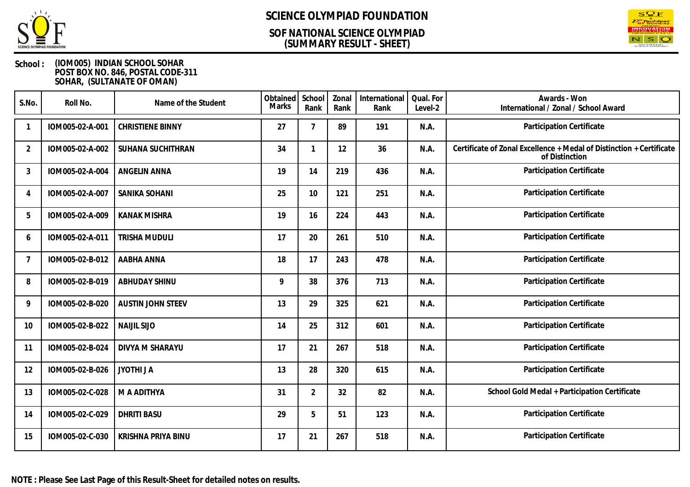

### **(SUMMARY RESULT - SHEET) SOF NATIONAL SCIENCE OLYMPIAD**



| S.No.           | Roll No.        | Name of the Student      | Obtained<br><b>Marks</b> | School<br>Rank | Zonal<br>Rank | International<br>Rank | Qual. For<br>Level-2 | Awards - Won<br>International / Zonal / School Award                                   |
|-----------------|-----------------|--------------------------|--------------------------|----------------|---------------|-----------------------|----------------------|----------------------------------------------------------------------------------------|
|                 | IOM005-02-A-001 | <b>CHRISTIENE BINNY</b>  | 27                       | $\overline{7}$ | 89            | 191                   | N.A.                 | Participation Certificate                                                              |
| $\overline{2}$  | IOM005-02-A-002 | SUHANA SUCHITHRAN        | 34                       | 1              | 12            | 36                    | N.A.                 | Certificate of Zonal Excellence + Medal of Distinction + Certificate<br>of Distinction |
| 3               | IOM005-02-A-004 | <b>ANGELIN ANNA</b>      | 19                       | 14             | 219           | 436                   | N.A.                 | Participation Certificate                                                              |
| 4               | IOM005-02-A-007 | SANIKA SOHANI            | 25                       | 10             | 121           | 251                   | N.A.                 | Participation Certificate                                                              |
| 5               | IOM005-02-A-009 | <b>KANAK MISHRA</b>      | 19                       | 16             | 224           | 443                   | N.A.                 | Participation Certificate                                                              |
| 6               | IOM005-02-A-011 | TRISHA MUDULI            | 17                       | 20             | 261           | 510                   | N.A.                 | Participation Certificate                                                              |
| $7\overline{ }$ | IOM005-02-B-012 | AABHA ANNA               | 18                       | 17             | 243           | 478                   | N.A.                 | Participation Certificate                                                              |
| 8               | IOM005-02-B-019 | ABHUDAY SHINU            | 9                        | 38             | 376           | 713                   | N.A.                 | Participation Certificate                                                              |
| 9               | IOM005-02-B-020 | <b>AUSTIN JOHN STEEV</b> | 13                       | 29             | 325           | 621                   | N.A.                 | Participation Certificate                                                              |
| 10              | IOM005-02-B-022 | <b>NAIJIL SIJO</b>       | 14                       | 25             | 312           | 601                   | N.A.                 | Participation Certificate                                                              |
| 11              | IOM005-02-B-024 | DIVYA M SHARAYU          | 17                       | 21             | 267           | 518                   | N.A.                 | Participation Certificate                                                              |
| 12              | IOM005-02-B-026 | <b>JYOTHI JA</b>         | 13                       | 28             | 320           | 615                   | N.A.                 | Participation Certificate                                                              |
| 13              | IOM005-02-C-028 | M A ADITHYA              | 31                       | $\overline{2}$ | 32            | 82                    | N.A.                 | School Gold Medal + Participation Certificate                                          |
| 14              | IOM005-02-C-029 | <b>DHRITI BASU</b>       | 29                       | 5              | 51            | 123                   | N.A.                 | Participation Certificate                                                              |
| 15              | IOM005-02-C-030 | KRISHNA PRIYA BINU       | 17                       | 21             | 267           | 518                   | N.A.                 | Participation Certificate                                                              |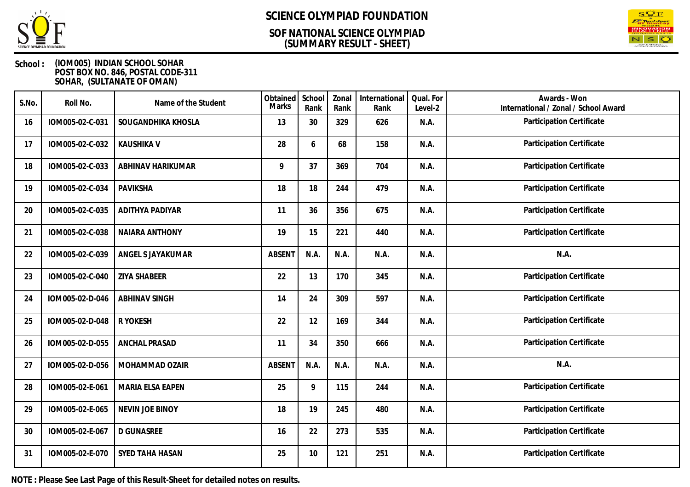

### **(SUMMARY RESULT - SHEET) SOF NATIONAL SCIENCE OLYMPIAD**



### **School : (IOM005) INDIAN SCHOOL SOHAR POST BOX NO. 846, POSTAL CODE-311 SOHAR, (SULTANATE OF OMAN)**

| S.No. | Roll No.        | Name of the Student   | Obtained<br><b>Marks</b> | School<br>Rank | Zonal<br>Rank | International<br>Rank | Qual. For<br>Level-2 | Awards - Won<br>International / Zonal / School Award |
|-------|-----------------|-----------------------|--------------------------|----------------|---------------|-----------------------|----------------------|------------------------------------------------------|
| 16    | IOM005-02-C-031 | SOUGANDHIKA KHOSLA    | 13                       | 30             | 329           | 626                   | N.A.                 | Participation Certificate                            |
| 17    | IOM005-02-C-032 | <b>KAUSHIKA V</b>     | 28                       | 6              | 68            | 158                   | N.A.                 | Participation Certificate                            |
| 18    | IOM005-02-C-033 | ABHINAV HARIKUMAR     | 9                        | 37             | 369           | 704                   | N.A.                 | Participation Certificate                            |
| 19    | IOM005-02-C-034 | PAVIKSHA              | 18                       | 18             | 244           | 479                   | N.A.                 | Participation Certificate                            |
| 20    | IOM005-02-C-035 | ADITHYA PADIYAR       | 11                       | 36             | 356           | 675                   | N.A.                 | Participation Certificate                            |
| 21    | IOM005-02-C-038 | <b>NAIARA ANTHONY</b> | 19                       | 15             | 221           | 440                   | N.A.                 | Participation Certificate                            |
| 22    | IOM005-02-C-039 | ANGEL S JAYAKUMAR     | <b>ABSENT</b>            | N.A.           | N.A.          | N.A.                  | N.A.                 | N.A.                                                 |
| 23    | IOM005-02-C-040 | <b>ZIYA SHABEER</b>   | 22                       | 13             | 170           | 345                   | N.A.                 | Participation Certificate                            |
| 24    | IOM005-02-D-046 | <b>ABHINAV SINGH</b>  | 14                       | 24             | 309           | 597                   | N.A.                 | Participation Certificate                            |
| 25    | IOM005-02-D-048 | R YOKESH              | 22                       | 12             | 169           | 344                   | N.A.                 | Participation Certificate                            |
| 26    | IOM005-02-D-055 | <b>ANCHAL PRASAD</b>  | 11                       | 34             | 350           | 666                   | N.A.                 | Participation Certificate                            |
| 27    | IOM005-02-D-056 | MOHAMMAD OZAIR        | <b>ABSENT</b>            | N.A.           | N.A.          | N.A.                  | N.A.                 | N.A.                                                 |
| 28    | IOM005-02-E-061 | MARIA ELSA EAPEN      | 25                       | 9              | 115           | 244                   | N.A.                 | Participation Certificate                            |
| 29    | IOM005-02-E-065 | NEVIN JOE BINOY       | 18                       | 19             | 245           | 480                   | N.A.                 | Participation Certificate                            |
| 30    | IOM005-02-E-067 | <b>D GUNASREE</b>     | 16                       | 22             | 273           | 535                   | N.A.                 | Participation Certificate                            |
| 31    | IOM005-02-E-070 | SYED TAHA HASAN       | 25                       | 10             | 121           | 251                   | N.A.                 | Participation Certificate                            |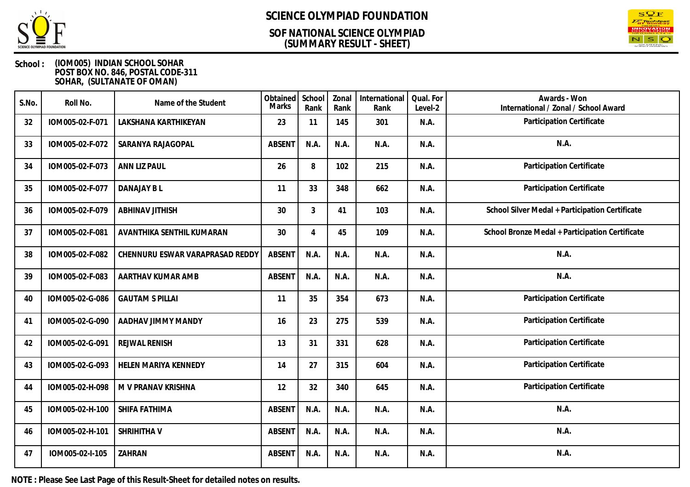

## **(SUMMARY RESULT - SHEET) SOF NATIONAL SCIENCE OLYMPIAD**



### **School : (IOM005) INDIAN SCHOOL SOHAR POST BOX NO. 846, POSTAL CODE-311 SOHAR, (SULTANATE OF OMAN)**

| S.No. | Roll No.        | Name of the Student             | Obtained<br><b>Marks</b> | School<br>Rank | Zonal<br>Rank | International<br>Rank | Qual. For<br>Level-2 | Awards - Won<br>International / Zonal / School Award |
|-------|-----------------|---------------------------------|--------------------------|----------------|---------------|-----------------------|----------------------|------------------------------------------------------|
| 32    | IOM005-02-F-071 | LAKSHANA KARTHIKEYAN            | 23                       | 11             | 145           | 301                   | N.A.                 | Participation Certificate                            |
| 33    | IOM005-02-F-072 | SARANYA RAJAGOPAL               | <b>ABSENT</b>            | N.A.           | N.A.          | N.A.                  | N.A.                 | N.A.                                                 |
| 34    | IOM005-02-F-073 | ANN LIZ PAUL                    | 26                       | 8              | 102           | 215                   | N.A.                 | Participation Certificate                            |
| 35    | IOM005-02-F-077 | DANAJAY B L                     | 11                       | 33             | 348           | 662                   | N.A.                 | Participation Certificate                            |
| 36    | IOM005-02-F-079 | <b>ABHINAV JITHISH</b>          | 30                       | 3              | 41            | 103                   | N.A.                 | School Silver Medal + Participation Certificate      |
| 37    | IOM005-02-F-081 | AVANTHIKA SENTHIL KUMARAN       | 30                       | $\overline{4}$ | 45            | 109                   | N.A.                 | School Bronze Medal + Participation Certificate      |
| 38    | IOM005-02-F-082 | CHENNURU ESWAR VARAPRASAD REDDY | <b>ABSENT</b>            | N.A.           | N.A.          | N.A.                  | N.A.                 | N.A.                                                 |
| 39    | IOM005-02-F-083 | AARTHAV KUMAR AMB               | <b>ABSENT</b>            | N.A.           | N.A.          | N.A.                  | N.A.                 | N.A.                                                 |
| 40    | IOM005-02-G-086 | <b>GAUTAM S PILLAI</b>          | 11                       | 35             | 354           | 673                   | N.A.                 | Participation Certificate                            |
| 41    | IOM005-02-G-090 | AADHAV JIMMY MANDY              | 16                       | 23             | 275           | 539                   | N.A.                 | Participation Certificate                            |
| 42    | IOM005-02-G-091 | <b>REJWAL RENISH</b>            | 13                       | 31             | 331           | 628                   | N.A.                 | Participation Certificate                            |
| 43    | IOM005-02-G-093 | HELEN MARIYA KENNEDY            | 14                       | 27             | 315           | 604                   | N.A.                 | Participation Certificate                            |
| 44    | IOM005-02-H-098 | M V PRANAV KRISHNA              | 12                       | 32             | 340           | 645                   | N.A.                 | Participation Certificate                            |
| 45    | IOM005-02-H-100 | SHIFA FATHIMA                   | <b>ABSENT</b>            | N.A.           | N.A.          | N.A.                  | N.A.                 | N.A.                                                 |
| 46    | IOM005-02-H-101 | SHRIHITHA V                     | <b>ABSENT</b>            | N.A.           | N.A.          | N.A.                  | N.A.                 | N.A.                                                 |
| 47    | IOM005-02-I-105 | ZAHRAN                          | <b>ABSENT</b>            | N.A.           | N.A.          | N.A.                  | N.A.                 | N.A.                                                 |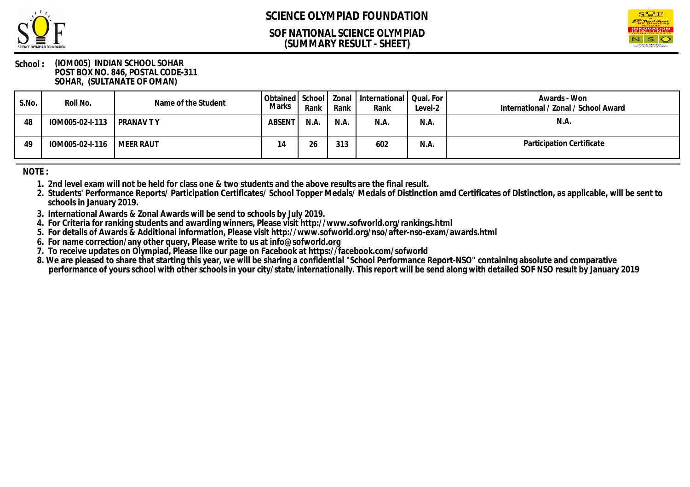

### **(SUMMARY RESULT - SHEET) SOF NATIONAL SCIENCE OLYMPIAD**



#### **School : (IOM005) INDIAN SCHOOL SOHAR POST BOX NO. 846, POSTAL CODE-311 SOHAR, (SULTANATE OF OMAN)**

| S.No. | Roll No.                    | Name of the Student | Marks         | Rank | Rank | Obtained   School   Zonal   International   Qual. For  <br>Rank | Level-2 | Awards - Won<br>International / Zonal / School Award |
|-------|-----------------------------|---------------------|---------------|------|------|-----------------------------------------------------------------|---------|------------------------------------------------------|
| 48    | IOM005-02-I-113 PRANAVTY    |                     | <b>ABSENT</b> | N.A. | N.A. | N.A.                                                            | N.A.    | N.A.                                                 |
| 49    | IOM005-02-I-116   MEER RAUT |                     | 14            | 26   | 313  | 602                                                             | N.A.    | Participation Certificate                            |

**NOTE :**

- **1. 2nd level exam will not be held for class one & two students and the above results are the final result.**
- **2. Students' Performance Reports/ Participation Certificates/ School Topper Medals/ Medals of Distinction amd Certificates of Distinction, as applicable, will be sent to schools in January 2019.**
- **3. International Awards & Zonal Awards will be send to schools by July 2019.**
- **4. For Criteria for ranking students and awarding winners, Please visit http://www.sofworld.org/rankings.html**
- **5. For details of Awards & Additional information, Please visit http://www.sofworld.org/nso/after-nso-exam/awards.html**
- **6. For name correction/any other query, Please write to us at info@sofworld.org**
- **7. To receive updates on Olympiad, Please like our page on Facebook at https://facebook.com/sofworld**
- **8. We are pleased to share that starting this year, we will be sharing a confidential "School Performance Report-NSO" containing absolute and comparative** performance of yours school with other schools in your city/state/internationally. This report will be send along with detailed SOF NSO result by January 2019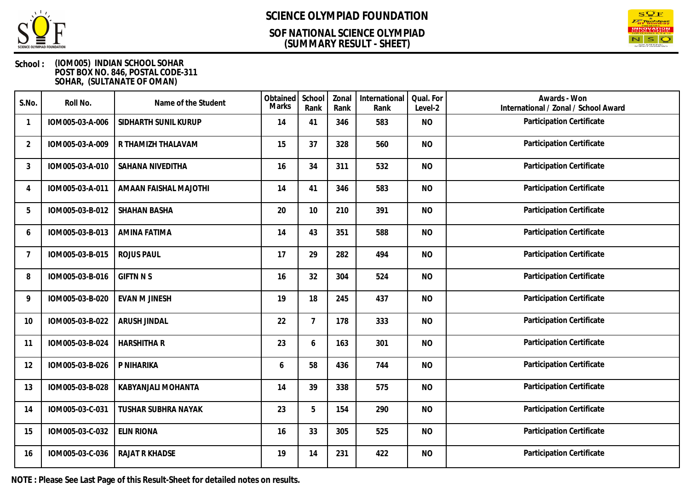

### **(SUMMARY RESULT - SHEET) SOF NATIONAL SCIENCE OLYMPIAD**



### **School : (IOM005) INDIAN SCHOOL SOHAR POST BOX NO. 846, POSTAL CODE-311 SOHAR, (SULTANATE OF OMAN)**

| S.No.                    | Roll No.        | Name of the Student        | Obtained<br><b>Marks</b> | School<br>Rank | Zonal<br>Rank | International<br>Rank | Qual. For<br>Level-2 | Awards - Won<br>International / Zonal / School Award |
|--------------------------|-----------------|----------------------------|--------------------------|----------------|---------------|-----------------------|----------------------|------------------------------------------------------|
| $\overline{\phantom{a}}$ | IOM005-03-A-006 | SIDHARTH SUNIL KURUP       | 14                       | 41             | 346           | 583                   | <b>NO</b>            | Participation Certificate                            |
| $\overline{2}$           | IOM005-03-A-009 | R THAMIZH THALAVAM         | 15                       | 37             | 328           | 560                   | <b>NO</b>            | Participation Certificate                            |
| 3                        | IOM005-03-A-010 | SAHANA NIVEDITHA           | 16                       | 34             | 311           | 532                   | <b>NO</b>            | Participation Certificate                            |
| 4                        | IOM005-03-A-011 | AMAAN FAISHAL MAJOTHI      | 14                       | 41             | 346           | 583                   | <b>NO</b>            | Participation Certificate                            |
| 5                        | IOM005-03-B-012 | <b>SHAHAN BASHA</b>        | 20                       | 10             | 210           | 391                   | <b>NO</b>            | Participation Certificate                            |
| 6                        | IOM005-03-B-013 | AMINA FATIMA               | 14                       | 43             | 351           | 588                   | <b>NO</b>            | Participation Certificate                            |
| 7                        | IOM005-03-B-015 | <b>ROJUS PAUL</b>          | 17                       | 29             | 282           | 494                   | <b>NO</b>            | Participation Certificate                            |
| 8                        | IOM005-03-B-016 | <b>GIFTN N S</b>           | 16                       | 32             | 304           | 524                   | <b>NO</b>            | Participation Certificate                            |
| 9                        | IOM005-03-B-020 | <b>EVAN M JINESH</b>       | 19                       | 18             | 245           | 437                   | <b>NO</b>            | Participation Certificate                            |
| 10                       | IOM005-03-B-022 | ARUSH JINDAL               | 22                       | $\overline{7}$ | 178           | 333                   | <b>NO</b>            | Participation Certificate                            |
| 11                       | IOM005-03-B-024 | <b>HARSHITHA R</b>         | 23                       | 6              | 163           | 301                   | <b>NO</b>            | Participation Certificate                            |
| 12                       | IOM005-03-B-026 | P NIHARIKA                 | 6                        | 58             | 436           | 744                   | <b>NO</b>            | Participation Certificate                            |
| 13                       | IOM005-03-B-028 | KABYANJALI MOHANTA         | 14                       | 39             | 338           | 575                   | <b>NO</b>            | Participation Certificate                            |
| 14                       | IOM005-03-C-031 | <b>TUSHAR SUBHRA NAYAK</b> | 23                       | 5              | 154           | 290                   | <b>NO</b>            | Participation Certificate                            |
| 15                       | IOM005-03-C-032 | <b>ELIN RIONA</b>          | 16                       | 33             | 305           | 525                   | <b>NO</b>            | Participation Certificate                            |
| 16                       | IOM005-03-C-036 | <b>RAJAT R KHADSE</b>      | 19                       | 14             | 231           | 422                   | <b>NO</b>            | Participation Certificate                            |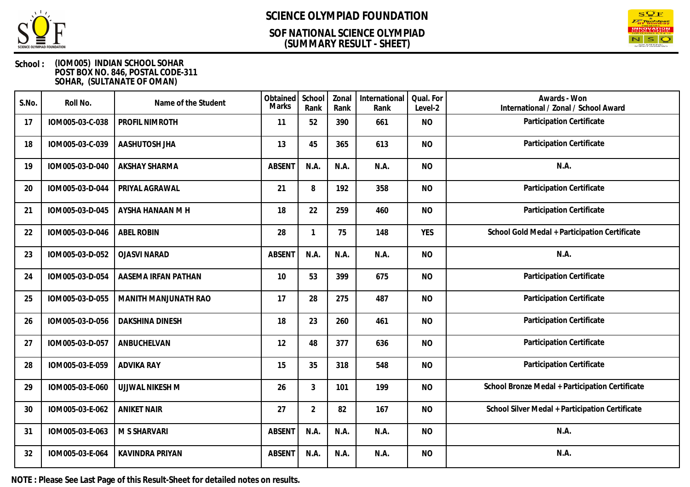

## **(SUMMARY RESULT - SHEET) SOF NATIONAL SCIENCE OLYMPIAD**



### **School : (IOM005) INDIAN SCHOOL SOHAR POST BOX NO. 846, POSTAL CODE-311 SOHAR, (SULTANATE OF OMAN)**

| S.No. | Roll No.        | Name of the Student    | Obtained<br>Marks | School<br>Rank | Zonal<br>Rank | International<br>Rank | Qual. For<br>Level-2 | Awards - Won<br>International / Zonal / School Award |
|-------|-----------------|------------------------|-------------------|----------------|---------------|-----------------------|----------------------|------------------------------------------------------|
| 17    | IOM005-03-C-038 | PROFIL NIMROTH         | 11                | 52             | 390           | 661                   | <b>NO</b>            | Participation Certificate                            |
| 18    | IOM005-03-C-039 | AASHUTOSH JHA          | 13                | 45             | 365           | 613                   | <b>NO</b>            | Participation Certificate                            |
| 19    | IOM005-03-D-040 | AKSHAY SHARMA          | <b>ABSENT</b>     | N.A.           | N.A.          | N.A.                  | <b>NO</b>            | N.A.                                                 |
| 20    | IOM005-03-D-044 | PRIYAL AGRAWAL         | 21                | 8              | 192           | 358                   | <b>NO</b>            | Participation Certificate                            |
| 21    | IOM005-03-D-045 | AYSHA HANAAN M H       | 18                | 22             | 259           | 460                   | <b>NO</b>            | Participation Certificate                            |
| 22    | IOM005-03-D-046 | <b>ABEL ROBIN</b>      | 28                | 1              | 75            | 148                   | <b>YES</b>           | School Gold Medal + Participation Certificate        |
| 23    | IOM005-03-D-052 | <b>OJASVI NARAD</b>    | <b>ABSENT</b>     | N.A.           | N.A.          | N.A.                  | <b>NO</b>            | N.A.                                                 |
| 24    | IOM005-03-D-054 | AASEMA IRFAN PATHAN    | 10                | 53             | 399           | 675                   | <b>NO</b>            | Participation Certificate                            |
| 25    | IOM005-03-D-055 | MANITH MANJUNATH RAO   | 17                | 28             | 275           | 487                   | <b>NO</b>            | Participation Certificate                            |
| 26    | IOM005-03-D-056 | <b>DAKSHINA DINESH</b> | 18                | 23             | 260           | 461                   | <b>NO</b>            | Participation Certificate                            |
| 27    | IOM005-03-D-057 | ANBUCHELVAN            | 12                | 48             | 377           | 636                   | <b>NO</b>            | Participation Certificate                            |
| 28    | IOM005-03-E-059 | <b>ADVIKA RAY</b>      | 15                | 35             | 318           | 548                   | <b>NO</b>            | Participation Certificate                            |
| 29    | IOM005-03-E-060 | <b>UJJWAL NIKESH M</b> | 26                | 3              | 101           | 199                   | <b>NO</b>            | School Bronze Medal + Participation Certificate      |
| 30    | IOM005-03-E-062 | <b>ANIKET NAIR</b>     | 27                | $\overline{2}$ | 82            | 167                   | <b>NO</b>            | School Silver Medal + Participation Certificate      |
| 31    | IOM005-03-E-063 | M S SHARVARI           | <b>ABSENT</b>     | N.A.           | N.A.          | N.A.                  | <b>NO</b>            | N.A.                                                 |
| 32    | IOM005-03-E-064 | KAVINDRA PRIYAN        | <b>ABSENT</b>     | N.A.           | N.A.          | N.A.                  | <b>NO</b>            | N.A.                                                 |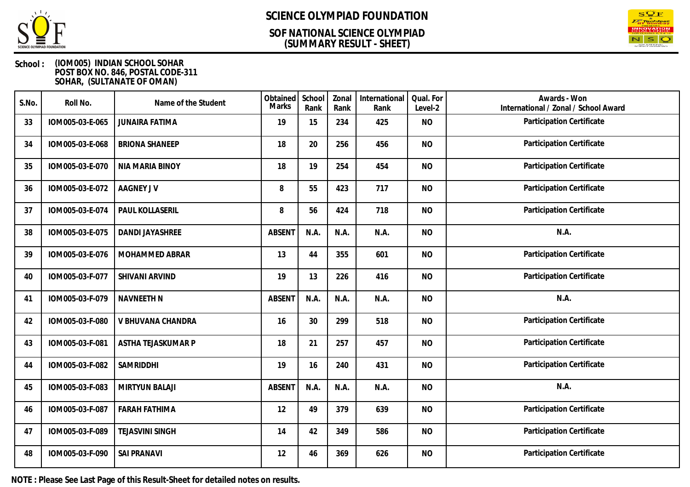

### **(SUMMARY RESULT - SHEET) SOF NATIONAL SCIENCE OLYMPIAD**



### **School : (IOM005) INDIAN SCHOOL SOHAR POST BOX NO. 846, POSTAL CODE-311 SOHAR, (SULTANATE OF OMAN)**

| S.No. | Roll No.        | Name of the Student    | Obtained<br><b>Marks</b> | School<br>Rank | Zonal<br>Rank | International<br>Rank | Qual. For<br>Level-2 | Awards - Won<br>International / Zonal / School Award |
|-------|-----------------|------------------------|--------------------------|----------------|---------------|-----------------------|----------------------|------------------------------------------------------|
| 33    | IOM005-03-E-065 | <b>JUNAIRA FATIMA</b>  | 19                       | 15             | 234           | 425                   | <b>NO</b>            | Participation Certificate                            |
| 34    | IOM005-03-E-068 | <b>BRIONA SHANEEP</b>  | 18                       | 20             | 256           | 456                   | <b>NO</b>            | Participation Certificate                            |
| 35    | IOM005-03-E-070 | NIA MARIA BINOY        | 18                       | 19             | 254           | 454                   | <b>NO</b>            | Participation Certificate                            |
| 36    | IOM005-03-E-072 | <b>AAGNEY JV</b>       | 8                        | 55             | 423           | 717                   | <b>NO</b>            | Participation Certificate                            |
| 37    | IOM005-03-E-074 | PAUL KOLLASERIL        | 8                        | 56             | 424           | 718                   | <b>NO</b>            | Participation Certificate                            |
| 38    | IOM005-03-E-075 | <b>DANDI JAYASHREE</b> | <b>ABSENT</b>            | N.A.           | N.A.          | N.A.                  | <b>NO</b>            | N.A.                                                 |
| 39    | IOM005-03-E-076 | MOHAMMED ABRAR         | 13                       | 44             | 355           | 601                   | <b>NO</b>            | Participation Certificate                            |
| 40    | IOM005-03-F-077 | SHIVANI ARVIND         | 19                       | 13             | 226           | 416                   | <b>NO</b>            | Participation Certificate                            |
| 41    | IOM005-03-F-079 | <b>NAVNEETH N</b>      | <b>ABSENT</b>            | N.A.           | N.A.          | N.A.                  | <b>NO</b>            | N.A.                                                 |
| 42    | IOM005-03-F-080 | V BHUVANA CHANDRA      | 16                       | 30             | 299           | 518                   | <b>NO</b>            | Participation Certificate                            |
| 43    | IOM005-03-F-081 | ASTHA TEJASKUMAR P     | 18                       | 21             | 257           | 457                   | <b>NO</b>            | Participation Certificate                            |
| 44    | IOM005-03-F-082 | SAMRIDDHI              | 19                       | 16             | 240           | 431                   | <b>NO</b>            | Participation Certificate                            |
| 45    | IOM005-03-F-083 | <b>MIRTYUN BALAJI</b>  | <b>ABSENT</b>            | N.A.           | N.A.          | N.A.                  | <b>NO</b>            | N.A.                                                 |
| 46    | IOM005-03-F-087 | <b>FARAH FATHIMA</b>   | 12                       | 49             | 379           | 639                   | <b>NO</b>            | Participation Certificate                            |
| 47    | IOM005-03-F-089 | <b>TEJASVINI SINGH</b> | 14                       | 42             | 349           | 586                   | <b>NO</b>            | Participation Certificate                            |
| 48    | IOM005-03-F-090 | <b>SAI PRANAVI</b>     | 12                       | 46             | 369           | 626                   | <b>NO</b>            | Participation Certificate                            |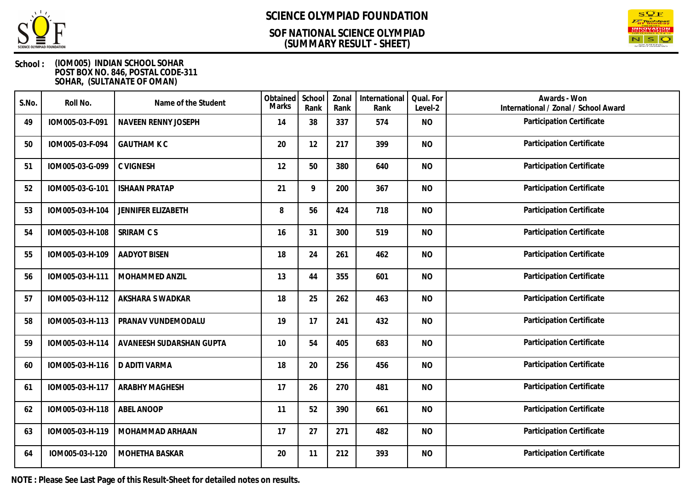

### **(SUMMARY RESULT - SHEET) SOF NATIONAL SCIENCE OLYMPIAD**



### **School : (IOM005) INDIAN SCHOOL SOHAR POST BOX NO. 846, POSTAL CODE-311 SOHAR, (SULTANATE OF OMAN)**

| S.No. | Roll No.        | Name of the Student       | Obtained<br>Marks | School<br>Rank | Zonal<br>Rank | International<br>Rank | Qual. For<br>Level-2 | Awards - Won<br>International / Zonal / School Award |
|-------|-----------------|---------------------------|-------------------|----------------|---------------|-----------------------|----------------------|------------------------------------------------------|
| 49    | IOM005-03-F-091 | NAVEEN RENNY JOSEPH       | 14                | 38             | 337           | 574                   | <b>NO</b>            | Participation Certificate                            |
| 50    | IOM005-03-F-094 | <b>GAUTHAM K C</b>        | 20                | 12             | 217           | 399                   | <b>NO</b>            | Participation Certificate                            |
| 51    | IOM005-03-G-099 | <b>C VIGNESH</b>          | 12                | 50             | 380           | 640                   | <b>NO</b>            | Participation Certificate                            |
| 52    | IOM005-03-G-101 | <b>ISHAAN PRATAP</b>      | 21                | 9              | 200           | 367                   | <b>NO</b>            | Participation Certificate                            |
| 53    | IOM005-03-H-104 | <b>JENNIFER ELIZABETH</b> | 8                 | 56             | 424           | 718                   | <b>NO</b>            | Participation Certificate                            |
| 54    | IOM005-03-H-108 | SRIRAM C S                | 16                | 31             | 300           | 519                   | <b>NO</b>            | Participation Certificate                            |
| 55    | IOM005-03-H-109 | <b>AADYOT BISEN</b>       | 18                | 24             | 261           | 462                   | <b>NO</b>            | Participation Certificate                            |
| 56    | IOM005-03-H-111 | MOHAMMED ANZIL            | 13                | 44             | 355           | 601                   | <b>NO</b>            | Participation Certificate                            |
| 57    | IOM005-03-H-112 | AKSHARA S WADKAR          | 18                | 25             | 262           | 463                   | <b>NO</b>            | Participation Certificate                            |
| 58    | IOM005-03-H-113 | PRANAV VUNDEMODALU        | 19                | 17             | 241           | 432                   | <b>NO</b>            | Participation Certificate                            |
| 59    | IOM005-03-H-114 | AVANEESH SUDARSHAN GUPTA  | 10                | 54             | 405           | 683                   | <b>NO</b>            | Participation Certificate                            |
| 60    | IOM005-03-H-116 | D ADITI VARMA             | 18                | 20             | 256           | 456                   | <b>NO</b>            | Participation Certificate                            |
| 61    | IOM005-03-H-117 | <b>ARABHY MAGHESH</b>     | 17                | 26             | 270           | 481                   | <b>NO</b>            | Participation Certificate                            |
| 62    | IOM005-03-H-118 | ABEL ANOOP                | 11                | 52             | 390           | 661                   | <b>NO</b>            | Participation Certificate                            |
| 63    | IOM005-03-H-119 | MOHAMMAD ARHAAN           | 17                | 27             | 271           | 482                   | <b>NO</b>            | Participation Certificate                            |
| 64    | IOM005-03-I-120 | MOHETHA BASKAR            | 20                | 11             | 212           | 393                   | <b>NO</b>            | Participation Certificate                            |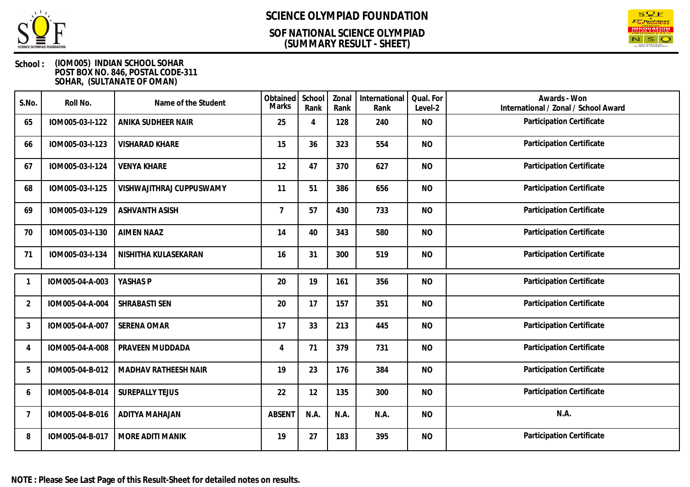

### **(SUMMARY RESULT - SHEET) SOF NATIONAL SCIENCE OLYMPIAD**



| S.No.          | Roll No.        | Name of the Student      | Obtained<br>Marks | School<br>Rank | Zonal<br>Rank | International<br>Rank | Qual. For<br>Level-2 | Awards - Won<br>International / Zonal / School Award |
|----------------|-----------------|--------------------------|-------------------|----------------|---------------|-----------------------|----------------------|------------------------------------------------------|
| 65             | IOM005-03-I-122 | ANIKA SUDHEER NAIR       | 25                | $\overline{A}$ | 128           | 240                   | <b>NO</b>            | Participation Certificate                            |
| 66             | IOM005-03-I-123 | <b>VISHARAD KHARE</b>    | 15                | 36             | 323           | 554                   | <b>NO</b>            | Participation Certificate                            |
| 67             | IOM005-03-I-124 | <b>VENYA KHARE</b>       | 12                | 47             | 370           | 627                   | <b>NO</b>            | Participation Certificate                            |
| 68             | IOM005-03-I-125 | VISHWAJITHRAJ CUPPUSWAMY | 11                | 51             | 386           | 656                   | <b>NO</b>            | Participation Certificate                            |
| 69             | IOM005-03-I-129 | <b>ASHVANTH ASISH</b>    | $\overline{7}$    | 57             | 430           | 733                   | <b>NO</b>            | Participation Certificate                            |
| 70             | IOM005-03-I-130 | <b>AIMEN NAAZ</b>        | 14                | 40             | 343           | 580                   | <b>NO</b>            | Participation Certificate                            |
| 71             | IOM005-03-I-134 | NISHITHA KULASEKARAN     | 16                | 31             | 300           | 519                   | <b>NO</b>            | Participation Certificate                            |
|                | IOM005-04-A-003 | YASHAS P                 | 20                | 19             | 161           | 356                   | <b>NO</b>            | Participation Certificate                            |
| $\overline{2}$ | IOM005-04-A-004 | SHRABASTI SEN            | 20                | 17             | 157           | 351                   | <b>NO</b>            | Participation Certificate                            |
| 3              | IOM005-04-A-007 | SERENA OMAR              | 17                | 33             | 213           | 445                   | <b>NO</b>            | Participation Certificate                            |
| 4              | IOM005-04-A-008 | PRAVEEN MUDDADA          | 4                 | 71             | 379           | 731                   | <b>NO</b>            | Participation Certificate                            |
| 5              | IOM005-04-B-012 | MADHAV RATHEESH NAIR     | 19                | 23             | 176           | 384                   | <b>NO</b>            | Participation Certificate                            |
| 6              | IOM005-04-B-014 | <b>SUREPALLY TEJUS</b>   | 22                | 12             | 135           | 300                   | <b>NO</b>            | Participation Certificate                            |
| -7             | IOM005-04-B-016 | <b>ADITYA MAHAJAN</b>    | <b>ABSENT</b>     | N.A.           | N.A.          | N.A.                  | <b>NO</b>            | N.A.                                                 |
| 8              | IOM005-04-B-017 | MORE ADITI MANIK         | 19                | 27             | 183           | 395                   | <b>NO</b>            | Participation Certificate                            |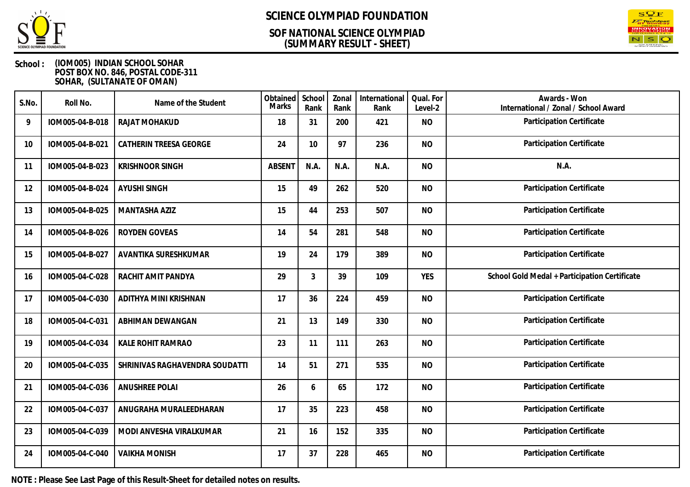

### **(SUMMARY RESULT - SHEET) SOF NATIONAL SCIENCE OLYMPIAD**



### **School : (IOM005) INDIAN SCHOOL SOHAR POST BOX NO. 846, POSTAL CODE-311 SOHAR, (SULTANATE OF OMAN)**

| S.No. | Roll No.        | Name of the Student            | Obtained<br><b>Marks</b> | School<br>Rank | Zonal<br>Rank | International<br>Rank | Qual. For<br>Level-2 | Awards - Won<br>International / Zonal / School Award |
|-------|-----------------|--------------------------------|--------------------------|----------------|---------------|-----------------------|----------------------|------------------------------------------------------|
| 9     | IOM005-04-B-018 | RAJAT MOHAKUD                  | 18                       | 31             | 200           | 421                   | <b>NO</b>            | Participation Certificate                            |
| 10    | IOM005-04-B-021 | CATHERIN TREESA GEORGE         | 24                       | 10             | 97            | 236                   | <b>NO</b>            | Participation Certificate                            |
| 11    | IOM005-04-B-023 | <b>KRISHNOOR SINGH</b>         | <b>ABSENT</b>            | N.A.           | N.A.          | N.A.                  | <b>NO</b>            | N.A.                                                 |
| 12    | IOM005-04-B-024 | <b>AYUSHI SINGH</b>            | 15                       | 49             | 262           | 520                   | <b>NO</b>            | Participation Certificate                            |
| 13    | IOM005-04-B-025 | MANTASHA AZIZ                  | 15                       | 44             | 253           | 507                   | <b>NO</b>            | Participation Certificate                            |
| 14    | IOM005-04-B-026 | ROYDEN GOVEAS                  | 14                       | 54             | 281           | 548                   | <b>NO</b>            | Participation Certificate                            |
| 15    | IOM005-04-B-027 | AVANTIKA SURESHKUMAR           | 19                       | 24             | 179           | 389                   | <b>NO</b>            | Participation Certificate                            |
| 16    | IOM005-04-C-028 | RACHIT AMIT PANDYA             | 29                       | $\mathfrak{Z}$ | 39            | 109                   | <b>YES</b>           | School Gold Medal + Participation Certificate        |
| 17    | IOM005-04-C-030 | ADITHYA MINI KRISHNAN          | 17                       | 36             | 224           | 459                   | <b>NO</b>            | Participation Certificate                            |
| 18    | IOM005-04-C-031 | ABHIMAN DEWANGAN               | 21                       | 13             | 149           | 330                   | <b>NO</b>            | Participation Certificate                            |
| 19    | IOM005-04-C-034 | KALE ROHIT RAMRAO              | 23                       | 11             | 111           | 263                   | <b>NO</b>            | Participation Certificate                            |
| 20    | IOM005-04-C-035 | SHRINIVAS RAGHAVENDRA SOUDATTI | 14                       | 51             | 271           | 535                   | <b>NO</b>            | Participation Certificate                            |
| 21    | IOM005-04-C-036 | <b>ANUSHREE POLAI</b>          | 26                       | 6              | 65            | 172                   | <b>NO</b>            | Participation Certificate                            |
| 22    | IOM005-04-C-037 | ANUGRAHA MURALEEDHARAN         | 17                       | 35             | 223           | 458                   | <b>NO</b>            | Participation Certificate                            |
| 23    | IOM005-04-C-039 | MODI ANVESHA VIRALKUMAR        | 21                       | 16             | 152           | 335                   | <b>NO</b>            | Participation Certificate                            |
| 24    | IOM005-04-C-040 | <b>VAIKHA MONISH</b>           | 17                       | 37             | 228           | 465                   | <b>NO</b>            | Participation Certificate                            |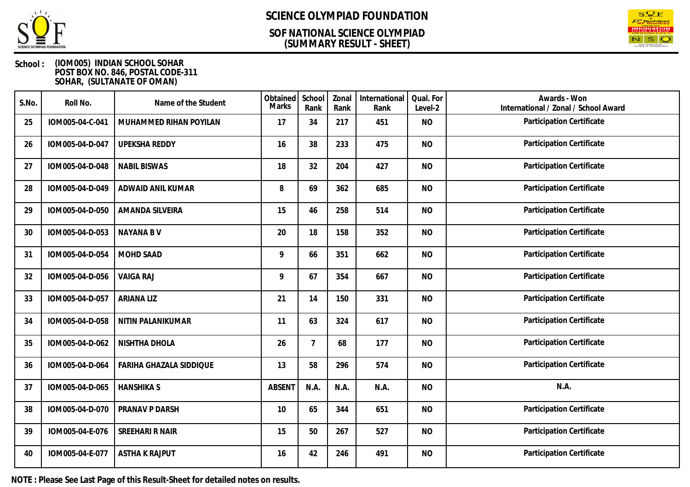

### **(SUMMARY RESULT - SHEET) SOF NATIONAL SCIENCE OLYMPIAD**



### **School : (IOM005) INDIAN SCHOOL SOHAR POST BOX NO. 846, POSTAL CODE-311 SOHAR, (SULTANATE OF OMAN)**

| S.No. | Roll No.        | Name of the Student     | Obtained<br><b>Marks</b> | School<br>Rank | Zonal<br>Rank | International<br>Rank | Qual. For<br>Level-2 | Awards - Won<br>International / Zonal / School Award |
|-------|-----------------|-------------------------|--------------------------|----------------|---------------|-----------------------|----------------------|------------------------------------------------------|
| 25    | IOM005-04-C-041 | MUHAMMED RIHAN POYILAN  | 17                       | 34             | 217           | 451                   | <b>NO</b>            | Participation Certificate                            |
| 26    | IOM005-04-D-047 | <b>UPEKSHA REDDY</b>    | 16                       | 38             | 233           | 475                   | <b>NO</b>            | Participation Certificate                            |
| 27    | IOM005-04-D-048 | <b>NABIL BISWAS</b>     | 18                       | 32             | 204           | 427                   | <b>NO</b>            | Participation Certificate                            |
| 28    | IOM005-04-D-049 | ADWAID ANIL KUMAR       | 8                        | 69             | 362           | 685                   | <b>NO</b>            | Participation Certificate                            |
| 29    | IOM005-04-D-050 | AMANDA SILVEIRA         | 15                       | 46             | 258           | 514                   | <b>NO</b>            | Participation Certificate                            |
| 30    | IOM005-04-D-053 | <b>NAYANA B V</b>       | 20                       | 18             | 158           | 352                   | <b>NO</b>            | Participation Certificate                            |
| 31    | IOM005-04-D-054 | MOHD SAAD               | 9                        | 66             | 351           | 662                   | <b>NO</b>            | Participation Certificate                            |
| 32    | IOM005-04-D-056 | <b>VAIGA RAJ</b>        | 9                        | 67             | 354           | 667                   | <b>NO</b>            | Participation Certificate                            |
| 33    | IOM005-04-D-057 | <b>ARIANA LIZ</b>       | 21                       | 14             | 150           | 331                   | <b>NO</b>            | Participation Certificate                            |
| 34    | IOM005-04-D-058 | NITIN PALANIKUMAR       | 11                       | 63             | 324           | 617                   | <b>NO</b>            | Participation Certificate                            |
| 35    | IOM005-04-D-062 | NISHTHA DHOLA           | 26                       | $\overline{7}$ | 68            | 177                   | <b>NO</b>            | Participation Certificate                            |
| 36    | IOM005-04-D-064 | FARIHA GHAZALA SIDDIQUE | 13                       | 58             | 296           | 574                   | <b>NO</b>            | Participation Certificate                            |
| 37    | IOM005-04-D-065 | <b>HANSHIKA S</b>       | <b>ABSENT</b>            | N.A.           | N.A.          | N.A.                  | <b>NO</b>            | N.A.                                                 |
| 38    | IOM005-04-D-070 | PRANAV P DARSH          | 10                       | 65             | 344           | 651                   | <b>NO</b>            | Participation Certificate                            |
| 39    | IOM005-04-E-076 | SREEHARI R NAIR         | 15                       | 50             | 267           | 527                   | <b>NO</b>            | Participation Certificate                            |
| 40    | IOM005-04-E-077 | <b>ASTHA K RAJPUT</b>   | 16                       | 42             | 246           | 491                   | <b>NO</b>            | Participation Certificate                            |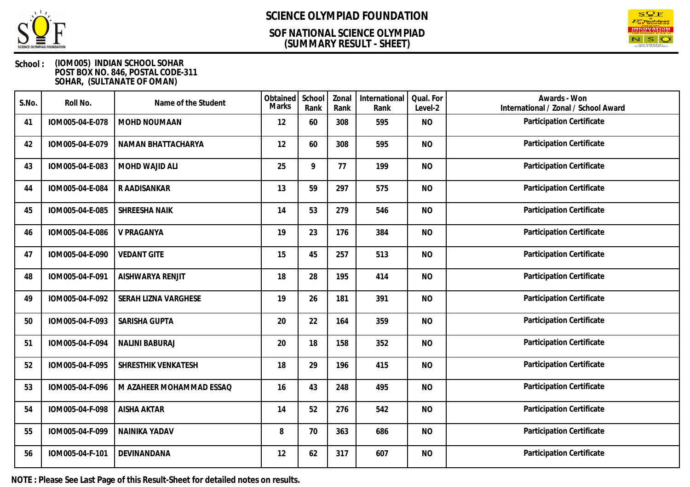

### **(SUMMARY RESULT - SHEET) SOF NATIONAL SCIENCE OLYMPIAD**



### **School : (IOM005) INDIAN SCHOOL SOHAR POST BOX NO. 846, POSTAL CODE-311 SOHAR, (SULTANATE OF OMAN)**

| S.No. | Roll No.        | Name of the Student      | Obtained<br><b>Marks</b> | School<br>Rank | Zonal<br>Rank | International<br>Rank | Qual. For<br>Level-2 | Awards - Won<br>International / Zonal / School Award |
|-------|-----------------|--------------------------|--------------------------|----------------|---------------|-----------------------|----------------------|------------------------------------------------------|
| 41    | IOM005-04-E-078 | MOHD NOUMAAN             | 12                       | 60             | 308           | 595                   | <b>NO</b>            | Participation Certificate                            |
| 42    | IOM005-04-E-079 | NAMAN BHATTACHARYA       | 12                       | 60             | 308           | 595                   | <b>NO</b>            | Participation Certificate                            |
| 43    | IOM005-04-E-083 | MOHD WAJID ALI           | 25                       | 9              | 77            | 199                   | <b>NO</b>            | Participation Certificate                            |
| 44    | IOM005-04-E-084 | R AADISANKAR             | 13                       | 59             | 297           | 575                   | <b>NO</b>            | Participation Certificate                            |
| 45    | IOM005-04-E-085 | SHREESHA NAIK            | 14                       | 53             | 279           | 546                   | <b>NO</b>            | Participation Certificate                            |
| 46    | IOM005-04-E-086 | V PRAGANYA               | 19                       | 23             | 176           | 384                   | <b>NO</b>            | Participation Certificate                            |
| 47    | IOM005-04-E-090 | <b>VEDANT GITE</b>       | 15                       | 45             | 257           | 513                   | <b>NO</b>            | Participation Certificate                            |
| 48    | IOM005-04-F-091 | AISHWARYA RENJIT         | 18                       | 28             | 195           | 414                   | <b>NO</b>            | Participation Certificate                            |
| 49    | IOM005-04-F-092 | SERAH LIZNA VARGHESE     | 19                       | 26             | 181           | 391                   | <b>NO</b>            | Participation Certificate                            |
| 50    | IOM005-04-F-093 | SARISHA GUPTA            | 20                       | 22             | 164           | 359                   | <b>NO</b>            | Participation Certificate                            |
| 51    | IOM005-04-F-094 | <b>NALINI BABURAJ</b>    | 20                       | 18             | 158           | 352                   | <b>NO</b>            | Participation Certificate                            |
| 52    | IOM005-04-F-095 | SHRESTHIK VENKATESH      | 18                       | 29             | 196           | 415                   | <b>NO</b>            | Participation Certificate                            |
| 53    | IOM005-04-F-096 | M AZAHEER MOHAMMAD ESSAQ | 16                       | 43             | 248           | 495                   | <b>NO</b>            | Participation Certificate                            |
| 54    | IOM005-04-F-098 | <b>AISHA AKTAR</b>       | 14                       | 52             | 276           | 542                   | <b>NO</b>            | Participation Certificate                            |
| 55    | IOM005-04-F-099 | NAINIKA YADAV            | 8                        | 70             | 363           | 686                   | <b>NO</b>            | Participation Certificate                            |
| 56    | IOM005-04-F-101 | DEVINANDANA              | 12                       | 62             | 317           | 607                   | <b>NO</b>            | Participation Certificate                            |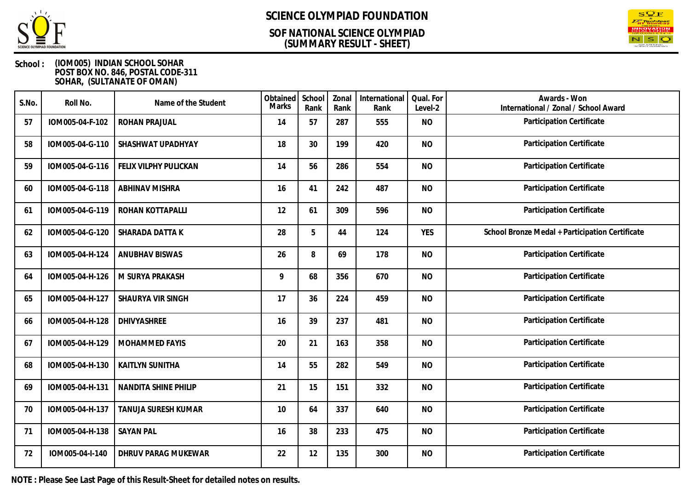

### **(SUMMARY RESULT - SHEET) SOF NATIONAL SCIENCE OLYMPIAD**



### **School : (IOM005) INDIAN SCHOOL SOHAR POST BOX NO. 846, POSTAL CODE-311 SOHAR, (SULTANATE OF OMAN)**

| S.No. | Roll No.        | Name of the Student        | Obtained<br><b>Marks</b> | School<br>Rank | Zonal<br>Rank | International<br>Rank | Qual. For<br>Level-2 | Awards - Won<br>International / Zonal / School Award |
|-------|-----------------|----------------------------|--------------------------|----------------|---------------|-----------------------|----------------------|------------------------------------------------------|
| 57    | IOM005-04-F-102 | <b>ROHAN PRAJUAL</b>       | 14                       | 57             | 287           | 555                   | <b>NO</b>            | Participation Certificate                            |
| 58    | IOM005-04-G-110 | SHASHWAT UPADHYAY          | 18                       | 30             | 199           | 420                   | <b>NO</b>            | Participation Certificate                            |
| 59    | IOM005-04-G-116 | FELIX VILPHY PULICKAN      | 14                       | 56             | 286           | 554                   | <b>NO</b>            | Participation Certificate                            |
| 60    | IOM005-04-G-118 | <b>ABHINAV MISHRA</b>      | 16                       | 41             | 242           | 487                   | <b>NO</b>            | Participation Certificate                            |
| 61    | IOM005-04-G-119 | ROHAN KOTTAPALLI           | 12                       | 61             | 309           | 596                   | <b>NO</b>            | Participation Certificate                            |
| 62    | IOM005-04-G-120 | SHARADA DATTA K            | 28                       | 5              | 44            | 124                   | <b>YES</b>           | School Bronze Medal + Participation Certificate      |
| 63    | IOM005-04-H-124 | <b>ANUBHAV BISWAS</b>      | 26                       | 8              | 69            | 178                   | <b>NO</b>            | Participation Certificate                            |
| 64    | IOM005-04-H-126 | M SURYA PRAKASH            | 9                        | 68             | 356           | 670                   | <b>NO</b>            | Participation Certificate                            |
| 65    | IOM005-04-H-127 | SHAURYA VIR SINGH          | 17                       | 36             | 224           | 459                   | <b>NO</b>            | Participation Certificate                            |
| 66    | IOM005-04-H-128 | DHIVYASHREE                | 16                       | 39             | 237           | 481                   | <b>NO</b>            | Participation Certificate                            |
| 67    | IOM005-04-H-129 | MOHAMMED FAYIS             | 20                       | 21             | 163           | 358                   | <b>NO</b>            | Participation Certificate                            |
| 68    | IOM005-04-H-130 | <b>KAITLYN SUNITHA</b>     | 14                       | 55             | 282           | 549                   | <b>NO</b>            | Participation Certificate                            |
| 69    | IOM005-04-H-131 | NANDITA SHINE PHILIP       | 21                       | 15             | 151           | 332                   | <b>NO</b>            | Participation Certificate                            |
| 70    | IOM005-04-H-137 | TANUJA SURESH KUMAR        | 10                       | 64             | 337           | 640                   | <b>NO</b>            | Participation Certificate                            |
| 71    | IOM005-04-H-138 | <b>SAYAN PAL</b>           | 16                       | 38             | 233           | 475                   | <b>NO</b>            | Participation Certificate                            |
| 72    | IOM005-04-I-140 | <b>DHRUV PARAG MUKEWAR</b> | 22                       | 12             | 135           | 300                   | <b>NO</b>            | Participation Certificate                            |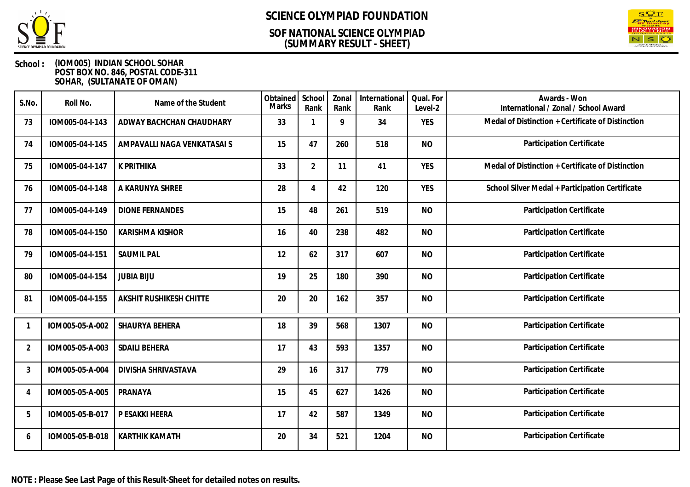

### **(SUMMARY RESULT - SHEET) SOF NATIONAL SCIENCE OLYMPIAD**



| S.No.          | Roll No.        | Name of the Student            | Obtained<br><b>Marks</b> | School<br>Rank | Zonal<br>Rank | International<br>Rank | Qual. For<br>Level-2 | Awards - Won<br>International / Zonal / School Award |
|----------------|-----------------|--------------------------------|--------------------------|----------------|---------------|-----------------------|----------------------|------------------------------------------------------|
| 73             | IOM005-04-I-143 | ADWAY BACHCHAN CHAUDHARY       | 33                       |                | 9             | 34                    | <b>YES</b>           | Medal of Distinction + Certificate of Distinction    |
| 74             | IOM005-04-I-145 | AMPAVALLI NAGA VENKATASAI S    | 15                       | 47             | 260           | 518                   | <b>NO</b>            | Participation Certificate                            |
| 75             | IOM005-04-I-147 | K PRITHIKA                     | 33                       | $\overline{2}$ | 11            | 41                    | <b>YES</b>           | Medal of Distinction + Certificate of Distinction    |
| 76             | IOM005-04-I-148 | A KARUNYA SHREE                | 28                       | $\overline{A}$ | 42            | 120                   | <b>YES</b>           | School Silver Medal + Participation Certificate      |
| 77             | IOM005-04-I-149 | <b>DIONE FERNANDES</b>         | 15                       | 48             | 261           | 519                   | <b>NO</b>            | Participation Certificate                            |
| 78             | IOM005-04-I-150 | <b>KARISHMA KISHOR</b>         | 16                       | 40             | 238           | 482                   | <b>NO</b>            | Participation Certificate                            |
| 79             | IOM005-04-I-151 | <b>SAUMIL PAL</b>              | 12                       | 62             | 317           | 607                   | <b>NO</b>            | Participation Certificate                            |
| 80             | IOM005-04-I-154 | <b>JUBIA BIJU</b>              | 19                       | 25             | 180           | 390                   | <b>NO</b>            | Participation Certificate                            |
| 81             | IOM005-04-I-155 | <b>AKSHIT RUSHIKESH CHITTE</b> | 20                       | 20             | 162           | 357                   | <b>NO</b>            | Participation Certificate                            |
| -1             | IOM005-05-A-002 | SHAURYA BEHERA                 | 18                       | 39             | 568           | 1307                  | <b>NO</b>            | Participation Certificate                            |
| $\overline{2}$ | IOM005-05-A-003 | <b>SDAILI BEHERA</b>           | 17                       | 43             | 593           | 1357                  | <b>NO</b>            | Participation Certificate                            |
| $\mathbf{3}$   | IOM005-05-A-004 | DIVISHA SHRIVASTAVA            | 29                       | 16             | 317           | 779                   | <b>NO</b>            | Participation Certificate                            |
| $\overline{4}$ | IOM005-05-A-005 | PRANAYA                        | 15                       | 45             | 627           | 1426                  | <b>NO</b>            | Participation Certificate                            |
| 5              | IOM005-05-B-017 | P ESAKKI HEERA                 | 17                       | 42             | 587           | 1349                  | <b>NO</b>            | Participation Certificate                            |
| 6              | IOM005-05-B-018 | <b>KARTHIK KAMATH</b>          | 20                       | 34             | 521           | 1204                  | <b>NO</b>            | Participation Certificate                            |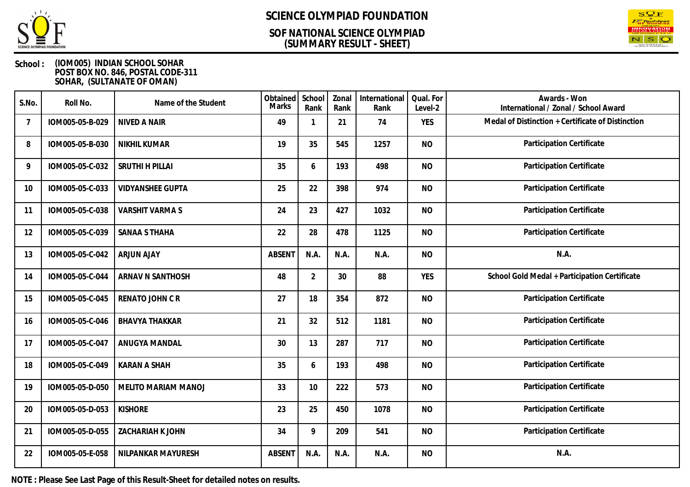

### **(SUMMARY RESULT - SHEET) SOF NATIONAL SCIENCE OLYMPIAD**



### **School : (IOM005) INDIAN SCHOOL SOHAR POST BOX NO. 846, POSTAL CODE-311 SOHAR, (SULTANATE OF OMAN)**

| S.No. | Roll No.        | Name of the Student     | Obtained<br><b>Marks</b> | School<br>Rank | Zonal<br>Rank | International<br>Rank | Qual. For<br>Level-2 | Awards - Won<br>International / Zonal / School Award |
|-------|-----------------|-------------------------|--------------------------|----------------|---------------|-----------------------|----------------------|------------------------------------------------------|
| 7     | IOM005-05-B-029 | NIVED A NAIR            | 49                       | 1              | 21            | 74                    | <b>YES</b>           | Medal of Distinction + Certificate of Distinction    |
| 8     | IOM005-05-B-030 | <b>NIKHIL KUMAR</b>     | 19                       | 35             | 545           | 1257                  | <b>NO</b>            | Participation Certificate                            |
| 9     | IOM005-05-C-032 | SRUTHI H PILLAI         | 35                       | 6              | 193           | 498                   | <b>NO</b>            | Participation Certificate                            |
| 10    | IOM005-05-C-033 | <b>VIDYANSHEE GUPTA</b> | 25                       | 22             | 398           | 974                   | <b>NO</b>            | Participation Certificate                            |
| 11    | IOM005-05-C-038 | <b>VARSHIT VARMAS</b>   | 24                       | 23             | 427           | 1032                  | <b>NO</b>            | Participation Certificate                            |
| 12    | IOM005-05-C-039 | SANAA S THAHA           | 22                       | 28             | 478           | 1125                  | <b>NO</b>            | Participation Certificate                            |
| 13    | IOM005-05-C-042 | <b>ARJUN AJAY</b>       | <b>ABSENT</b>            | N.A.           | N.A.          | N.A.                  | <b>NO</b>            | N.A.                                                 |
| 14    | IOM005-05-C-044 | ARNAV N SANTHOSH        | 48                       | $\overline{2}$ | 30            | 88                    | <b>YES</b>           | School Gold Medal + Participation Certificate        |
| 15    | IOM005-05-C-045 | RENATO JOHN CR          | 27                       | 18             | 354           | 872                   | <b>NO</b>            | Participation Certificate                            |
| 16    | IOM005-05-C-046 | <b>BHAVYA THAKKAR</b>   | 21                       | 32             | 512           | 1181                  | <b>NO</b>            | Participation Certificate                            |
| 17    | IOM005-05-C-047 | ANUGYA MANDAL           | 30                       | 13             | 287           | 717                   | <b>NO</b>            | Participation Certificate                            |
| 18    | IOM005-05-C-049 | <b>KARAN A SHAH</b>     | 35                       | 6              | 193           | 498                   | <b>NO</b>            | Participation Certificate                            |
| 19    | IOM005-05-D-050 | MELITO MARIAM MANOJ     | 33                       | 10             | 222           | 573                   | <b>NO</b>            | Participation Certificate                            |
| 20    | IOM005-05-D-053 | <b>KISHORE</b>          | 23                       | 25             | 450           | 1078                  | <b>NO</b>            | Participation Certificate                            |
| 21    | IOM005-05-D-055 | ZACHARIAH K JOHN        | 34                       | 9              | 209           | 541                   | <b>NO</b>            | Participation Certificate                            |
| 22    | IOM005-05-E-058 | NILPANKAR MAYURESH      | <b>ABSENT</b>            | N.A.           | N.A.          | N.A.                  | <b>NO</b>            | N.A.                                                 |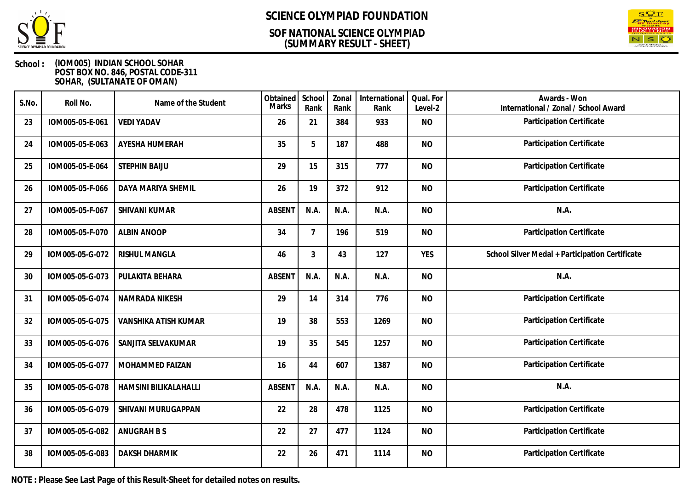

### **(SUMMARY RESULT - SHEET) SOF NATIONAL SCIENCE OLYMPIAD**



### **School : (IOM005) INDIAN SCHOOL SOHAR POST BOX NO. 846, POSTAL CODE-311 SOHAR, (SULTANATE OF OMAN)**

| S.No. | Roll No.        | Name of the Student   | Obtained<br><b>Marks</b> | School<br>Rank | Zonal<br>Rank | International<br>Rank | Qual. For<br>Level-2 | Awards - Won<br>International / Zonal / School Award |
|-------|-----------------|-----------------------|--------------------------|----------------|---------------|-----------------------|----------------------|------------------------------------------------------|
| 23    | IOM005-05-E-061 | <b>VEDI YADAV</b>     | 26                       | 21             | 384           | 933                   | <b>NO</b>            | Participation Certificate                            |
| 24    | IOM005-05-E-063 | AYESHA HUMERAH        | 35                       | 5              | 187           | 488                   | <b>NO</b>            | Participation Certificate                            |
| 25    | IOM005-05-E-064 | <b>STEPHIN BAIJU</b>  | 29                       | 15             | 315           | 777                   | <b>NO</b>            | Participation Certificate                            |
| 26    | IOM005-05-F-066 | DAYA MARIYA SHEMIL    | 26                       | 19             | 372           | 912                   | <b>NO</b>            | Participation Certificate                            |
| 27    | IOM005-05-F-067 | SHIVANI KUMAR         | <b>ABSENT</b>            | N.A.           | N.A.          | N.A.                  | <b>NO</b>            | N.A.                                                 |
| 28    | IOM005-05-F-070 | <b>ALBIN ANOOP</b>    | 34                       | $\overline{7}$ | 196           | 519                   | <b>NO</b>            | Participation Certificate                            |
| 29    | IOM005-05-G-072 | <b>RISHUL MANGLA</b>  | 46                       | 3              | 43            | 127                   | <b>YES</b>           | School Silver Medal + Participation Certificate      |
| 30    | IOM005-05-G-073 | PULAKITA BEHARA       | <b>ABSENT</b>            | N.A.           | N.A.          | N.A.                  | <b>NO</b>            | N.A.                                                 |
| 31    | IOM005-05-G-074 | NAMRADA NIKESH        | 29                       | 14             | 314           | 776                   | <b>NO</b>            | Participation Certificate                            |
| 32    | IOM005-05-G-075 | VANSHIKA ATISH KUMAR  | 19                       | 38             | 553           | 1269                  | <b>NO</b>            | Participation Certificate                            |
| 33    | IOM005-05-G-076 | SANJITA SELVAKUMAR    | 19                       | 35             | 545           | 1257                  | <b>NO</b>            | Participation Certificate                            |
| 34    | IOM005-05-G-077 | MOHAMMED FAIZAN       | 16                       | 44             | 607           | 1387                  | <b>NO</b>            | Participation Certificate                            |
| 35    | IOM005-05-G-078 | HAMSINI BILIKALAHALLI | <b>ABSENT</b>            | N.A.           | N.A.          | N.A.                  | <b>NO</b>            | N.A.                                                 |
| 36    | IOM005-05-G-079 | SHIVANI MURUGAPPAN    | 22                       | 28             | 478           | 1125                  | <b>NO</b>            | Participation Certificate                            |
| 37    | IOM005-05-G-082 | ANUGRAH B S           | 22                       | 27             | 477           | 1124                  | <b>NO</b>            | Participation Certificate                            |
| 38    | IOM005-05-G-083 | <b>DAKSH DHARMIK</b>  | 22                       | 26             | 471           | 1114                  | <b>NO</b>            | Participation Certificate                            |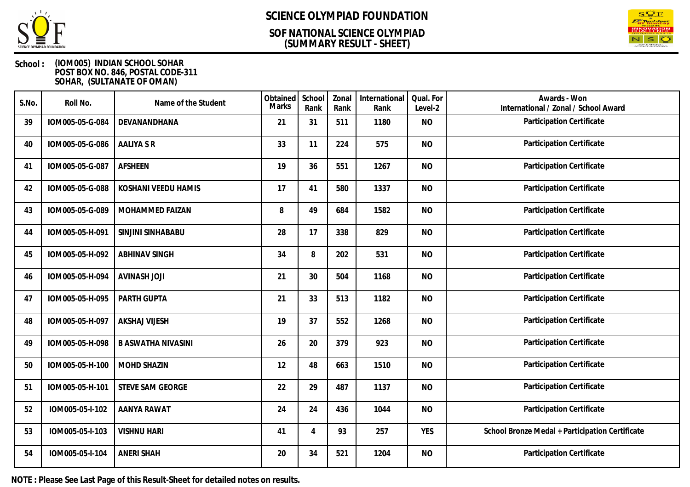

### **(SUMMARY RESULT - SHEET) SOF NATIONAL SCIENCE OLYMPIAD**



### **School : (IOM005) INDIAN SCHOOL SOHAR POST BOX NO. 846, POSTAL CODE-311 SOHAR, (SULTANATE OF OMAN)**

| S.No. | Roll No.        | Name of the Student       | Obtained<br>Marks | School<br>Rank | Zonal<br>Rank | International<br>Rank | Qual. For<br>Level-2 | Awards - Won<br>International / Zonal / School Award |
|-------|-----------------|---------------------------|-------------------|----------------|---------------|-----------------------|----------------------|------------------------------------------------------|
| 39    | IOM005-05-G-084 | DEVANANDHANA              | 21                | 31             | 511           | 1180                  | <b>NO</b>            | Participation Certificate                            |
| 40    | IOM005-05-G-086 | <b>AALIYA S R</b>         | 33                | 11             | 224           | 575                   | <b>NO</b>            | Participation Certificate                            |
| 41    | IOM005-05-G-087 | <b>AFSHEEN</b>            | 19                | 36             | 551           | 1267                  | <b>NO</b>            | Participation Certificate                            |
| 42    | IOM005-05-G-088 | KOSHANI VEEDU HAMIS       | 17                | 41             | 580           | 1337                  | <b>NO</b>            | Participation Certificate                            |
| 43    | IOM005-05-G-089 | MOHAMMED FAIZAN           | 8                 | 49             | 684           | 1582                  | <b>NO</b>            | Participation Certificate                            |
| 44    | IOM005-05-H-091 | SINJINI SINHABABU         | 28                | 17             | 338           | 829                   | <b>NO</b>            | Participation Certificate                            |
| 45    | IOM005-05-H-092 | <b>ABHINAV SINGH</b>      | 34                | 8              | 202           | 531                   | <b>NO</b>            | Participation Certificate                            |
| 46    | IOM005-05-H-094 | <b>AVINASH JOJI</b>       | 21                | 30             | 504           | 1168                  | <b>NO</b>            | Participation Certificate                            |
| 47    | IOM005-05-H-095 | PARTH GUPTA               | 21                | 33             | 513           | 1182                  | <b>NO</b>            | Participation Certificate                            |
| 48    | IOM005-05-H-097 | <b>AKSHAJ VIJESH</b>      | 19                | 37             | 552           | 1268                  | <b>NO</b>            | Participation Certificate                            |
| 49    | IOM005-05-H-098 | <b>B ASWATHA NIVASINI</b> | 26                | 20             | 379           | 923                   | <b>NO</b>            | Participation Certificate                            |
| 50    | IOM005-05-H-100 | <b>MOHD SHAZIN</b>        | 12                | 48             | 663           | 1510                  | <b>NO</b>            | Participation Certificate                            |
| 51    | IOM005-05-H-101 | <b>STEVE SAM GEORGE</b>   | 22                | 29             | 487           | 1137                  | <b>NO</b>            | Participation Certificate                            |
| 52    | IOM005-05-I-102 | AANYA RAWAT               | 24                | 24             | 436           | 1044                  | <b>NO</b>            | Participation Certificate                            |
| 53    | IOM005-05-I-103 | <b>VISHNU HARI</b>        | 41                | 4              | 93            | 257                   | <b>YES</b>           | School Bronze Medal + Participation Certificate      |
| 54    | IOM005-05-I-104 | <b>ANERI SHAH</b>         | 20                | 34             | 521           | 1204                  | <b>NO</b>            | Participation Certificate                            |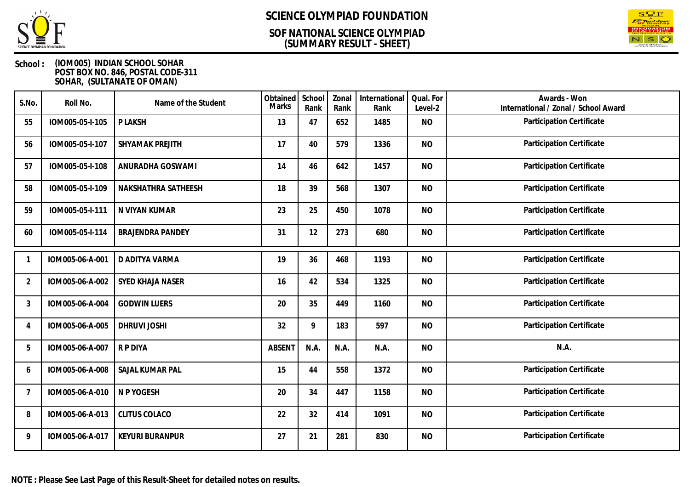

### **(SUMMARY RESULT - SHEET) SOF NATIONAL SCIENCE OLYMPIAD**



| S.No.          | Roll No.        | Name of the Student     | Obtained<br><b>Marks</b> | School<br>Rank | Zonal<br>Rank | International<br>Rank | Qual. For<br>Level-2 | Awards - Won<br>International / Zonal / School Award |
|----------------|-----------------|-------------------------|--------------------------|----------------|---------------|-----------------------|----------------------|------------------------------------------------------|
| 55             | IOM005-05-I-105 | P LAKSH                 | 13                       | 47             | 652           | 1485                  | <b>NO</b>            | Participation Certificate                            |
| 56             | IOM005-05-I-107 | SHYAMAK PREJITH         | 17                       | 40             | 579           | 1336                  | <b>NO</b>            | Participation Certificate                            |
| 57             | IOM005-05-I-108 | ANURADHA GOSWAMI        | 14                       | 46             | 642           | 1457                  | <b>NO</b>            | Participation Certificate                            |
| 58             | IOM005-05-I-109 | NAKSHATHRA SATHEESH     | 18                       | 39             | 568           | 1307                  | <b>NO</b>            | Participation Certificate                            |
| 59             | IOM005-05-I-111 | N VIYAN KUMAR           | 23                       | 25             | 450           | 1078                  | <b>NO</b>            | Participation Certificate                            |
| 60             | IOM005-05-I-114 | <b>BRAJENDRA PANDEY</b> | 31                       | 12             | 273           | 680                   | <b>NO</b>            | Participation Certificate                            |
|                | IOM005-06-A-001 | D ADITYA VARMA          | 19                       | 36             | 468           | 1193                  | <b>NO</b>            | Participation Certificate                            |
| $\overline{2}$ | IOM005-06-A-002 | <b>SYED KHAJA NASER</b> | 16                       | 42             | 534           | 1325                  | <b>NO</b>            | Participation Certificate                            |
| 3              | IOM005-06-A-004 | <b>GODWIN LUERS</b>     | 20                       | 35             | 449           | 1160                  | <b>NO</b>            | Participation Certificate                            |
| 4              | IOM005-06-A-005 | <b>DHRUVI JOSHI</b>     | 32                       | 9              | 183           | 597                   | <b>NO</b>            | Participation Certificate                            |
| 5              | IOM005-06-A-007 | R P DIYA                | <b>ABSENT</b>            | N.A.           | N.A.          | N.A.                  | <b>NO</b>            | N.A.                                                 |
| 6              | IOM005-06-A-008 | SAJAL KUMAR PAL         | 15                       | 44             | 558           | 1372                  | <b>NO</b>            | <b>Participation Certificate</b>                     |
| $\overline{7}$ | IOM005-06-A-010 | N P YOGESH              | 20                       | 34             | 447           | 1158                  | <b>NO</b>            | Participation Certificate                            |
| 8              | IOM005-06-A-013 | <b>CLITUS COLACO</b>    | 22                       | 32             | 414           | 1091                  | <b>NO</b>            | Participation Certificate                            |
| 9              | IOM005-06-A-017 | <b>KEYURI BURANPUR</b>  | 27                       | 21             | 281           | 830                   | <b>NO</b>            | Participation Certificate                            |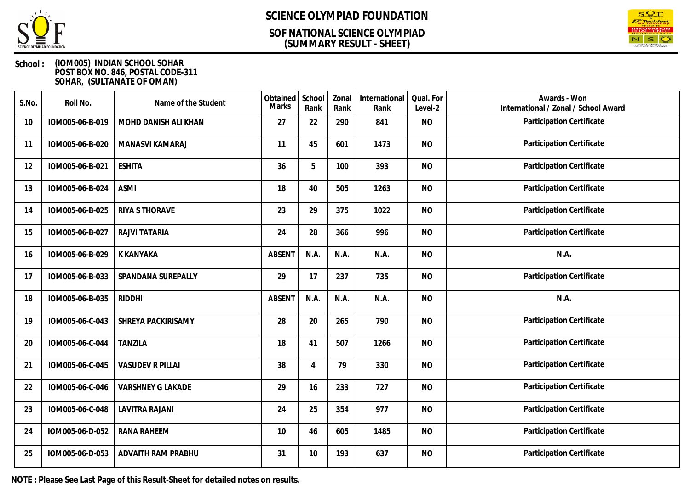

### **(SUMMARY RESULT - SHEET) SOF NATIONAL SCIENCE OLYMPIAD**



### **School : (IOM005) INDIAN SCHOOL SOHAR POST BOX NO. 846, POSTAL CODE-311 SOHAR, (SULTANATE OF OMAN)**

| S.No. | Roll No.        | Name of the Student      | Obtained<br>Marks | School<br>Rank | Zonal<br>Rank | International<br>Rank | Qual. For<br>Level-2 | Awards - Won<br>International / Zonal / School Award |
|-------|-----------------|--------------------------|-------------------|----------------|---------------|-----------------------|----------------------|------------------------------------------------------|
| 10    | IOM005-06-B-019 | MOHD DANISH ALI KHAN     | 27                | 22             | 290           | 841                   | <b>NO</b>            | Participation Certificate                            |
| 11    | IOM005-06-B-020 | MANASVI KAMARAJ          | 11                | 45             | 601           | 1473                  | <b>NO</b>            | Participation Certificate                            |
| 12    | IOM005-06-B-021 | <b>ESHITA</b>            | 36                | 5              | 100           | 393                   | <b>NO</b>            | Participation Certificate                            |
| 13    | IOM005-06-B-024 | <b>ASMI</b>              | 18                | 40             | 505           | 1263                  | <b>NO</b>            | Participation Certificate                            |
| 14    | IOM005-06-B-025 | RIYA S THORAVE           | 23                | 29             | 375           | 1022                  | <b>NO</b>            | Participation Certificate                            |
| 15    | IOM005-06-B-027 | RAJVI TATARIA            | 24                | 28             | 366           | 996                   | <b>NO</b>            | Participation Certificate                            |
| 16    | IOM005-06-B-029 | K KANYAKA                | <b>ABSENT</b>     | N.A.           | N.A.          | N.A.                  | <b>NO</b>            | N.A.                                                 |
| 17    | IOM005-06-B-033 | SPANDANA SUREPALLY       | 29                | 17             | 237           | 735                   | <b>NO</b>            | Participation Certificate                            |
| 18    | IOM005-06-B-035 | <b>RIDDHI</b>            | <b>ABSENT</b>     | N.A.           | N.A.          | N.A.                  | <b>NO</b>            | N.A.                                                 |
| 19    | IOM005-06-C-043 | SHREYA PACKIRISAMY       | 28                | 20             | 265           | 790                   | <b>NO</b>            | Participation Certificate                            |
| 20    | IOM005-06-C-044 | <b>TANZILA</b>           | 18                | 41             | 507           | 1266                  | <b>NO</b>            | Participation Certificate                            |
| 21    | IOM005-06-C-045 | <b>VASUDEV R PILLAI</b>  | 38                | 4              | 79            | 330                   | <b>NO</b>            | Participation Certificate                            |
| 22    | IOM005-06-C-046 | <b>VARSHNEY G LAKADE</b> | 29                | 16             | 233           | 727                   | <b>NO</b>            | Participation Certificate                            |
| 23    | IOM005-06-C-048 | LAVITRA RAJANI           | 24                | 25             | 354           | 977                   | <b>NO</b>            | Participation Certificate                            |
| 24    | IOM005-06-D-052 | <b>RANA RAHEEM</b>       | 10                | 46             | 605           | 1485                  | <b>NO</b>            | Participation Certificate                            |
| 25    | IOM005-06-D-053 | ADVAITH RAM PRABHU       | 31                | 10             | 193           | 637                   | <b>NO</b>            | Participation Certificate                            |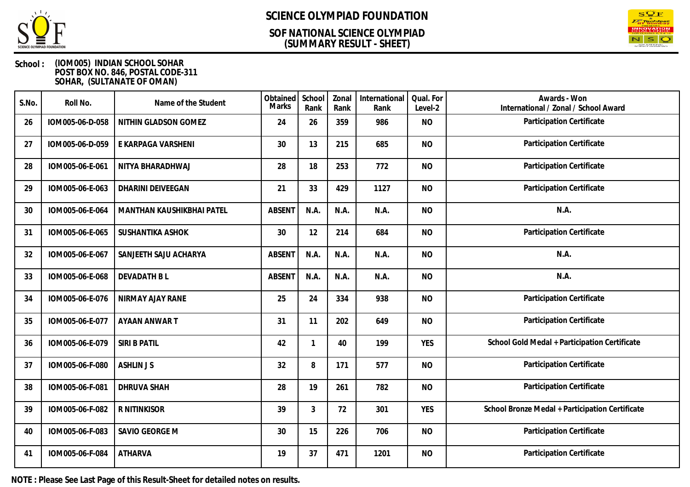

### **(SUMMARY RESULT - SHEET) SOF NATIONAL SCIENCE OLYMPIAD**



### **School : (IOM005) INDIAN SCHOOL SOHAR POST BOX NO. 846, POSTAL CODE-311 SOHAR, (SULTANATE OF OMAN)**

| S.No. | Roll No.        | Name of the Student       | Obtained<br>Marks | School<br>Rank | Zonal<br>Rank | International<br>Rank | Qual. For<br>Level-2 | Awards - Won<br>International / Zonal / School Award |
|-------|-----------------|---------------------------|-------------------|----------------|---------------|-----------------------|----------------------|------------------------------------------------------|
| 26    | IOM005-06-D-058 | NITHIN GLADSON GOMEZ      | 24                | 26             | 359           | 986                   | <b>NO</b>            | Participation Certificate                            |
| 27    | IOM005-06-D-059 | E KARPAGA VARSHENI        | 30                | 13             | 215           | 685                   | <b>NO</b>            | Participation Certificate                            |
| 28    | IOM005-06-E-061 | NITYA BHARADHWAJ          | 28                | 18             | 253           | 772                   | <b>NO</b>            | Participation Certificate                            |
| 29    | IOM005-06-E-063 | DHARINI DEIVEEGAN         | 21                | 33             | 429           | 1127                  | <b>NO</b>            | Participation Certificate                            |
| 30    | IOM005-06-E-064 | MANTHAN KAUSHIKBHAI PATEL | <b>ABSENT</b>     | N.A.           | N.A.          | N.A.                  | <b>NO</b>            | N.A.                                                 |
| 31    | IOM005-06-E-065 | <b>SUSHANTIKA ASHOK</b>   | 30                | 12             | 214           | 684                   | <b>NO</b>            | Participation Certificate                            |
| 32    | IOM005-06-E-067 | SANJEETH SAJU ACHARYA     | <b>ABSENT</b>     | N.A.           | N.A.          | N.A.                  | <b>NO</b>            | N.A.                                                 |
| 33    | IOM005-06-E-068 | <b>DEVADATH BL</b>        | <b>ABSENT</b>     | N.A.           | N.A.          | N.A.                  | <b>NO</b>            | N.A.                                                 |
| 34    | IOM005-06-E-076 | NIRMAY AJAY RANE          | 25                | 24             | 334           | 938                   | <b>NO</b>            | Participation Certificate                            |
| 35    | IOM005-06-E-077 | AYAAN ANWAR T             | 31                | 11             | 202           | 649                   | <b>NO</b>            | Participation Certificate                            |
| 36    | IOM005-06-E-079 | SIRI B PATIL              | 42                | 1              | 40            | 199                   | <b>YES</b>           | School Gold Medal + Participation Certificate        |
| 37    | IOM005-06-F-080 | <b>ASHLIN JS</b>          | 32                | 8              | 171           | 577                   | <b>NO</b>            | Participation Certificate                            |
| 38    | IOM005-06-F-081 | <b>DHRUVA SHAH</b>        | 28                | 19             | 261           | 782                   | <b>NO</b>            | Participation Certificate                            |
| 39    | IOM005-06-F-082 | R NITINKISOR              | 39                | 3              | 72            | 301                   | <b>YES</b>           | School Bronze Medal + Participation Certificate      |
| 40    | IOM005-06-F-083 | SAVIO GEORGE M            | 30                | 15             | 226           | 706                   | <b>NO</b>            | Participation Certificate                            |
| 41    | IOM005-06-F-084 | <b>ATHARVA</b>            | 19                | 37             | 471           | 1201                  | <b>NO</b>            | Participation Certificate                            |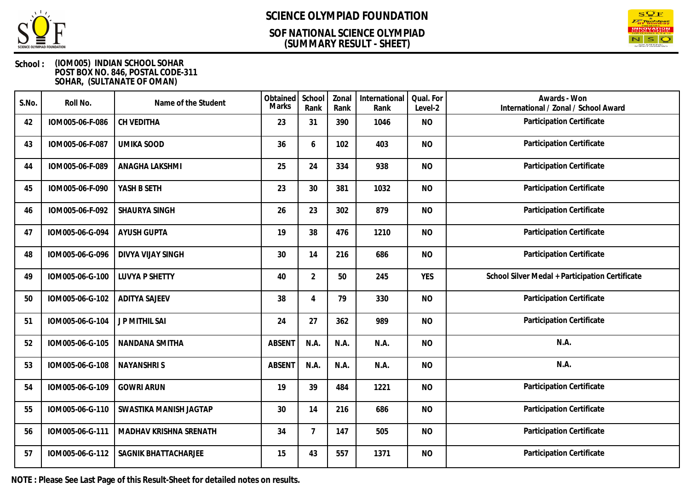

### **(SUMMARY RESULT - SHEET) SOF NATIONAL SCIENCE OLYMPIAD**



### **School : (IOM005) INDIAN SCHOOL SOHAR POST BOX NO. 846, POSTAL CODE-311 SOHAR, (SULTANATE OF OMAN)**

| S.No. | Roll No.        | Name of the Student      | Obtained<br><b>Marks</b> | School<br>Rank | Zonal<br>Rank | International<br>Rank | Qual. For<br>Level-2 | Awards - Won<br>International / Zonal / School Award |
|-------|-----------------|--------------------------|--------------------------|----------------|---------------|-----------------------|----------------------|------------------------------------------------------|
| 42    | IOM005-06-F-086 | CH VEDITHA               | 23                       | 31             | 390           | 1046                  | <b>NO</b>            | Participation Certificate                            |
| 43    | IOM005-06-F-087 | <b>UMIKA SOOD</b>        | 36                       | 6              | 102           | 403                   | <b>NO</b>            | Participation Certificate                            |
| 44    | IOM005-06-F-089 | ANAGHA LAKSHMI           | 25                       | 24             | 334           | 938                   | <b>NO</b>            | Participation Certificate                            |
| 45    | IOM005-06-F-090 | YASH B SETH              | 23                       | 30             | 381           | 1032                  | <b>NO</b>            | Participation Certificate                            |
| 46    | IOM005-06-F-092 | SHAURYA SINGH            | 26                       | 23             | 302           | 879                   | <b>NO</b>            | Participation Certificate                            |
| 47    | IOM005-06-G-094 | <b>AYUSH GUPTA</b>       | 19                       | 38             | 476           | 1210                  | <b>NO</b>            | Participation Certificate                            |
| 48    | IOM005-06-G-096 | <b>DIVYA VIJAY SINGH</b> | 30                       | 14             | 216           | 686                   | <b>NO</b>            | Participation Certificate                            |
| 49    | IOM005-06-G-100 | <b>LUVYA P SHETTY</b>    | 40                       | $\overline{2}$ | 50            | 245                   | <b>YES</b>           | School Silver Medal + Participation Certificate      |
| 50    | IOM005-06-G-102 | <b>ADITYA SAJEEV</b>     | 38                       | $\overline{4}$ | 79            | 330                   | <b>NO</b>            | Participation Certificate                            |
| 51    | IOM005-06-G-104 | <b>JP MITHIL SAI</b>     | 24                       | 27             | 362           | 989                   | <b>NO</b>            | Participation Certificate                            |
| 52    | IOM005-06-G-105 | NANDANA SMITHA           | <b>ABSENT</b>            | N.A.           | N.A.          | N.A.                  | <b>NO</b>            | N.A.                                                 |
| 53    | IOM005-06-G-108 | <b>NAYANSHRIS</b>        | <b>ABSENT</b>            | N.A.           | N.A.          | N.A.                  | <b>NO</b>            | N.A.                                                 |
| 54    | IOM005-06-G-109 | <b>GOWRI ARUN</b>        | 19                       | 39             | 484           | 1221                  | <b>NO</b>            | Participation Certificate                            |
| 55    | IOM005-06-G-110 | SWASTIKA MANISH JAGTAP   | 30                       | 14             | 216           | 686                   | <b>NO</b>            | Participation Certificate                            |
| 56    | IOM005-06-G-111 | MADHAV KRISHNA SRENATH   | 34                       | $\overline{7}$ | 147           | 505                   | <b>NO</b>            | Participation Certificate                            |
| 57    | IOM005-06-G-112 | SAGNIK BHATTACHARJEE     | 15                       | 43             | 557           | 1371                  | <b>NO</b>            | Participation Certificate                            |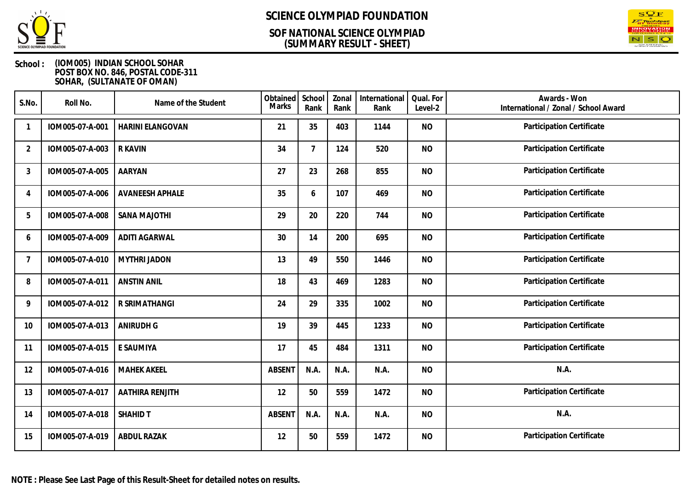

### **(SUMMARY RESULT - SHEET) SOF NATIONAL SCIENCE OLYMPIAD**



| S.No.          | Roll No.        | Name of the Student     | Obtained<br>Marks | School<br>Rank  | Zonal<br>Rank | International<br>Rank | Qual. For<br>Level-2 | Awards - Won<br>International / Zonal / School Award |
|----------------|-----------------|-------------------------|-------------------|-----------------|---------------|-----------------------|----------------------|------------------------------------------------------|
|                | IOM005-07-A-001 | <b>HARINI ELANGOVAN</b> | 21                | 35              | 403           | 1144                  | <b>NO</b>            | Participation Certificate                            |
| $\overline{2}$ | IOM005-07-A-003 | <b>R KAVIN</b>          | 34                | $7\overline{ }$ | 124           | 520                   | <b>NO</b>            | Participation Certificate                            |
| 3              | IOM005-07-A-005 | <b>AARYAN</b>           | 27                | 23              | 268           | 855                   | <b>NO</b>            | Participation Certificate                            |
| 4              | IOM005-07-A-006 | <b>AVANEESH APHALE</b>  | 35                | 6               | 107           | 469                   | <b>NO</b>            | Participation Certificate                            |
| 5              | IOM005-07-A-008 | <b>SANA MAJOTHI</b>     | 29                | 20              | 220           | 744                   | <b>NO</b>            | Participation Certificate                            |
| 6              | IOM005-07-A-009 | <b>ADITI AGARWAL</b>    | 30                | 14              | 200           | 695                   | <b>NO</b>            | Participation Certificate                            |
| 7              | IOM005-07-A-010 | <b>MYTHRI JADON</b>     | 13                | 49              | 550           | 1446                  | <b>NO</b>            | Participation Certificate                            |
| 8              | IOM005-07-A-011 | <b>ANSTIN ANIL</b>      | 18                | 43              | 469           | 1283                  | <b>NO</b>            | Participation Certificate                            |
| 9              | IOM005-07-A-012 | R SRIMATHANGI           | 24                | 29              | 335           | 1002                  | <b>NO</b>            | Participation Certificate                            |
| 10             | IOM005-07-A-013 | <b>ANIRUDH G</b>        | 19                | 39              | 445           | 1233                  | <b>NO</b>            | Participation Certificate                            |
| 11             | IOM005-07-A-015 | E SAUMIYA               | 17                | 45              | 484           | 1311                  | <b>NO</b>            | Participation Certificate                            |
| 12             | IOM005-07-A-016 | <b>MAHEK AKEEL</b>      | <b>ABSENT</b>     | N.A.            | N.A.          | N.A.                  | <b>NO</b>            | N.A.                                                 |
| 13             | IOM005-07-A-017 | AATHIRA RENJITH         | 12                | 50              | 559           | 1472                  | <b>NO</b>            | Participation Certificate                            |
| 14             | IOM005-07-A-018 | <b>SHAHID T</b>         | <b>ABSENT</b>     | N.A.            | N.A.          | N.A.                  | <b>NO</b>            | N.A.                                                 |
| 15             | IOM005-07-A-019 | <b>ABDUL RAZAK</b>      | 12                | 50              | 559           | 1472                  | <b>NO</b>            | Participation Certificate                            |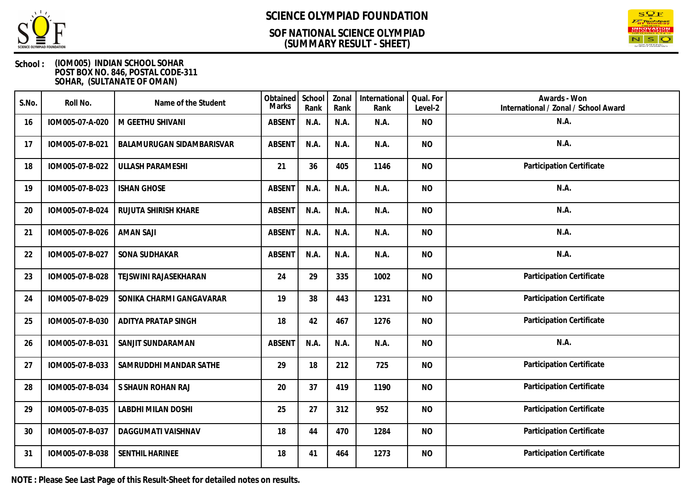

### **(SUMMARY RESULT - SHEET) SOF NATIONAL SCIENCE OLYMPIAD**



### **School : (IOM005) INDIAN SCHOOL SOHAR POST BOX NO. 846, POSTAL CODE-311 SOHAR, (SULTANATE OF OMAN)**

| S.No. | Roll No.        | Name of the Student       | Obtained<br>Marks | School<br>Rank | Zonal<br>Rank | International<br>Rank | Qual. For<br>Level-2 | Awards - Won<br>International / Zonal / School Award |
|-------|-----------------|---------------------------|-------------------|----------------|---------------|-----------------------|----------------------|------------------------------------------------------|
| 16    | IOM005-07-A-020 | M GEETHU SHIVANI          | <b>ABSENT</b>     | N.A.           | N.A.          | N.A.                  | <b>NO</b>            | N.A.                                                 |
| 17    | IOM005-07-B-021 | BALAMURUGAN SIDAMBARISVAR | <b>ABSENT</b>     | N.A.           | N.A.          | N.A.                  | <b>NO</b>            | N.A.                                                 |
| 18    | IOM005-07-B-022 | <b>ULLASH PARAMESHI</b>   | 21                | 36             | 405           | 1146                  | <b>NO</b>            | Participation Certificate                            |
| 19    | IOM005-07-B-023 | <b>ISHAN GHOSE</b>        | <b>ABSENT</b>     | N.A.           | N.A.          | N.A.                  | <b>NO</b>            | N.A.                                                 |
| 20    | IOM005-07-B-024 | RUJUTA SHIRISH KHARE      | <b>ABSENT</b>     | N.A.           | N.A.          | N.A.                  | <b>NO</b>            | N.A.                                                 |
| 21    | IOM005-07-B-026 | <b>AMAN SAJI</b>          | <b>ABSENT</b>     | N.A.           | N.A.          | N.A.                  | <b>NO</b>            | N.A.                                                 |
| 22    | IOM005-07-B-027 | SONA SUDHAKAR             | <b>ABSENT</b>     | N.A.           | N.A.          | N.A.                  | <b>NO</b>            | N.A.                                                 |
| 23    | IOM005-07-B-028 | TEJSWINI RAJASEKHARAN     | 24                | 29             | 335           | 1002                  | <b>NO</b>            | Participation Certificate                            |
| 24    | IOM005-07-B-029 | SONIKA CHARMI GANGAVARAR  | 19                | 38             | 443           | 1231                  | <b>NO</b>            | Participation Certificate                            |
| 25    | IOM005-07-B-030 | ADITYA PRATAP SINGH       | 18                | 42             | 467           | 1276                  | <b>NO</b>            | Participation Certificate                            |
| 26    | IOM005-07-B-031 | SANJIT SUNDARAMAN         | <b>ABSENT</b>     | N.A.           | N.A.          | N.A.                  | <b>NO</b>            | N.A.                                                 |
| 27    | IOM005-07-B-033 | SAMRUDDHI MANDAR SATHE    | 29                | 18             | 212           | 725                   | <b>NO</b>            | Participation Certificate                            |
| 28    | IOM005-07-B-034 | S SHAUN ROHAN RAJ         | 20                | 37             | 419           | 1190                  | <b>NO</b>            | Participation Certificate                            |
| 29    | IOM005-07-B-035 | LABDHI MILAN DOSHI        | 25                | 27             | 312           | 952                   | <b>NO</b>            | Participation Certificate                            |
| 30    | IOM005-07-B-037 | DAGGUMATI VAISHNAV        | 18                | 44             | 470           | 1284                  | <b>NO</b>            | Participation Certificate                            |
| 31    | IOM005-07-B-038 | SENTHIL HARINEE           | 18                | 41             | 464           | 1273                  | <b>NO</b>            | Participation Certificate                            |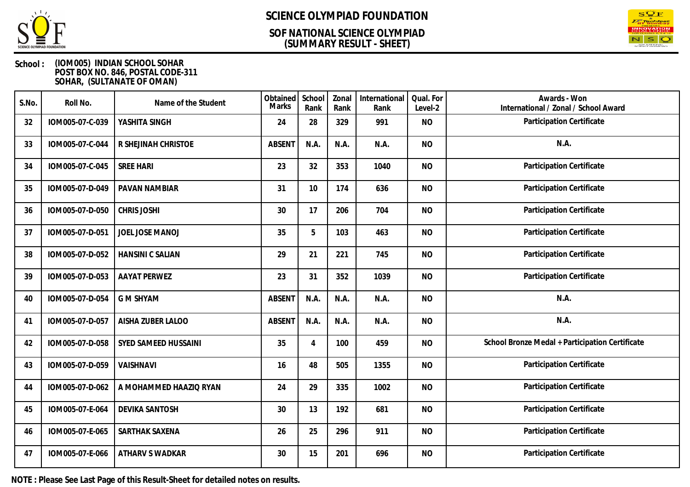

### **(SUMMARY RESULT - SHEET) SOF NATIONAL SCIENCE OLYMPIAD**



### **School : (IOM005) INDIAN SCHOOL SOHAR POST BOX NO. 846, POSTAL CODE-311 SOHAR, (SULTANATE OF OMAN)**

| S.No. | Roll No.        | Name of the Student     | Obtained<br><b>Marks</b> | School<br>Rank | Zonal<br>Rank | International<br>Rank | Qual. For<br>Level-2 | Awards - Won<br>International / Zonal / School Award |
|-------|-----------------|-------------------------|--------------------------|----------------|---------------|-----------------------|----------------------|------------------------------------------------------|
| 32    | IOM005-07-C-039 | YASHITA SINGH           | 24                       | 28             | 329           | 991                   | <b>NO</b>            | Participation Certificate                            |
| 33    | IOM005-07-C-044 | R SHEJINAH CHRISTOE     | <b>ABSENT</b>            | N.A.           | N.A.          | N.A.                  | <b>NO</b>            | N.A.                                                 |
| 34    | IOM005-07-C-045 | <b>SREE HARI</b>        | 23                       | 32             | 353           | 1040                  | <b>NO</b>            | Participation Certificate                            |
| 35    | IOM005-07-D-049 | PAVAN NAMBIAR           | 31                       | 10             | 174           | 636                   | <b>NO</b>            | Participation Certificate                            |
| 36    | IOM005-07-D-050 | <b>CHRIS JOSHI</b>      | 30                       | 17             | 206           | 704                   | <b>NO</b>            | Participation Certificate                            |
| 37    | IOM005-07-D-051 | JOEL JOSE MANOJ         | 35                       | 5              | 103           | 463                   | <b>NO</b>            | Participation Certificate                            |
| 38    | IOM005-07-D-052 | <b>HANSINI C SALIAN</b> | 29                       | 21             | 221           | 745                   | <b>NO</b>            | Participation Certificate                            |
| 39    | IOM005-07-D-053 | <b>AAYAT PERWEZ</b>     | 23                       | 31             | 352           | 1039                  | <b>NO</b>            | Participation Certificate                            |
| 40    | IOM005-07-D-054 | <b>G M SHYAM</b>        | <b>ABSENT</b>            | N.A.           | N.A.          | N.A.                  | <b>NO</b>            | N.A.                                                 |
| 41    | IOM005-07-D-057 | AISHA ZUBER LALOO       | <b>ABSENT</b>            | N.A.           | N.A.          | N.A.                  | <b>NO</b>            | N.A.                                                 |
| 42    | IOM005-07-D-058 | SYED SAMEED HUSSAINI    | 35                       | $\overline{4}$ | 100           | 459                   | <b>NO</b>            | School Bronze Medal + Participation Certificate      |
| 43    | IOM005-07-D-059 | VAISHNAVI               | 16                       | 48             | 505           | 1355                  | <b>NO</b>            | Participation Certificate                            |
| 44    | IOM005-07-D-062 | A MOHAMMED HAAZIQ RYAN  | 24                       | 29             | 335           | 1002                  | <b>NO</b>            | Participation Certificate                            |
| 45    | IOM005-07-E-064 | <b>DEVIKA SANTOSH</b>   | 30                       | 13             | 192           | 681                   | <b>NO</b>            | Participation Certificate                            |
| 46    | IOM005-07-E-065 | SARTHAK SAXENA          | 26                       | 25             | 296           | 911                   | <b>NO</b>            | Participation Certificate                            |
| 47    | IOM005-07-E-066 | <b>ATHARV S WADKAR</b>  | 30                       | 15             | 201           | 696                   | <b>NO</b>            | Participation Certificate                            |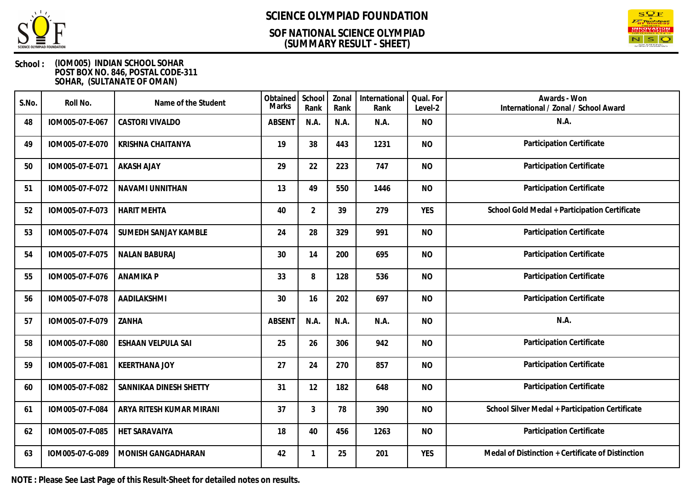

### **(SUMMARY RESULT - SHEET) SOF NATIONAL SCIENCE OLYMPIAD**



### **School : (IOM005) INDIAN SCHOOL SOHAR POST BOX NO. 846, POSTAL CODE-311 SOHAR, (SULTANATE OF OMAN)**

| S.No. | Roll No.        | Name of the Student       | Obtained<br><b>Marks</b> | School<br>Rank | Zonal<br>Rank | International<br>Rank | Qual. For<br>Level-2 | Awards - Won<br>International / Zonal / School Award |
|-------|-----------------|---------------------------|--------------------------|----------------|---------------|-----------------------|----------------------|------------------------------------------------------|
| 48    | IOM005-07-E-067 | CASTORI VIVALDO           | <b>ABSENT</b>            | N.A.           | N.A.          | N.A.                  | <b>NO</b>            | N.A.                                                 |
| 49    | IOM005-07-E-070 | <b>KRISHNA CHAITANYA</b>  | 19                       | 38             | 443           | 1231                  | <b>NO</b>            | Participation Certificate                            |
| 50    | IOM005-07-E-071 | <b>AKASH AJAY</b>         | 29                       | 22             | 223           | 747                   | <b>NO</b>            | Participation Certificate                            |
| 51    | IOM005-07-F-072 | NAVAMI UNNITHAN           | 13                       | 49             | 550           | 1446                  | <b>NO</b>            | Participation Certificate                            |
| 52    | IOM005-07-F-073 | <b>HARIT MEHTA</b>        | 40                       | $\overline{2}$ | 39            | 279                   | <b>YES</b>           | School Gold Medal + Participation Certificate        |
| 53    | IOM005-07-F-074 | SUMEDH SANJAY KAMBLE      | 24                       | 28             | 329           | 991                   | <b>NO</b>            | Participation Certificate                            |
| 54    | IOM005-07-F-075 | <b>NALAN BABURAJ</b>      | 30                       | 14             | 200           | 695                   | <b>NO</b>            | Participation Certificate                            |
| 55    | IOM005-07-F-076 | <b>ANAMIKA P</b>          | 33                       | 8              | 128           | 536                   | <b>NO</b>            | Participation Certificate                            |
| 56    | IOM005-07-F-078 | AADILAKSHMI               | 30                       | 16             | 202           | 697                   | <b>NO</b>            | Participation Certificate                            |
| 57    | IOM005-07-F-079 | ZANHA                     | <b>ABSENT</b>            | N.A.           | N.A.          | N.A.                  | <b>NO</b>            | N.A.                                                 |
| 58    | IOM005-07-F-080 | <b>ESHAAN VELPULA SAI</b> | 25                       | 26             | 306           | 942                   | <b>NO</b>            | Participation Certificate                            |
| 59    | IOM005-07-F-081 | <b>KEERTHANA JOY</b>      | 27                       | 24             | 270           | 857                   | <b>NO</b>            | Participation Certificate                            |
| 60    | IOM005-07-F-082 | SANNIKAA DINESH SHETTY    | 31                       | 12             | 182           | 648                   | <b>NO</b>            | Participation Certificate                            |
| 61    | IOM005-07-F-084 | ARYA RITESH KUMAR MIRANI  | 37                       | 3              | 78            | 390                   | <b>NO</b>            | School Silver Medal + Participation Certificate      |
| 62    | IOM005-07-F-085 | HET SARAVAIYA             | 18                       | 40             | 456           | 1263                  | <b>NO</b>            | Participation Certificate                            |
| 63    | IOM005-07-G-089 | MONISH GANGADHARAN        | 42                       | 1              | 25            | 201                   | <b>YES</b>           | Medal of Distinction + Certificate of Distinction    |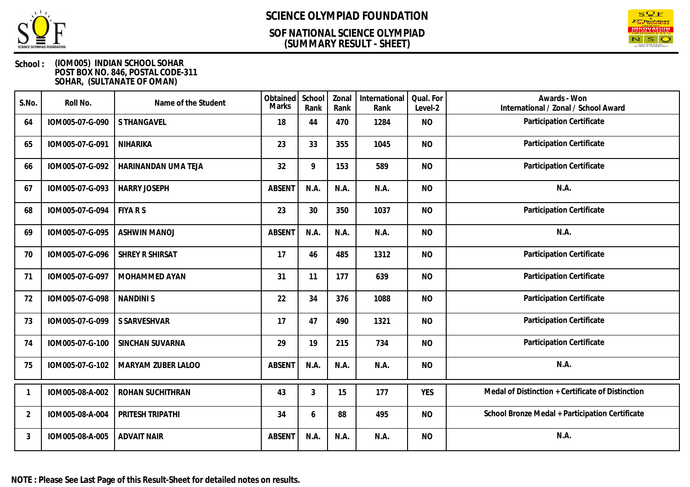

### **(SUMMARY RESULT - SHEET) SOF NATIONAL SCIENCE OLYMPIAD**



| S.No.          | Roll No.        | Name of the Student | Obtained<br><b>Marks</b> | School<br>Rank | Zonal<br>Rank | International<br>Rank | Qual. For<br>Level-2 | Awards - Won<br>International / Zonal / School Award |
|----------------|-----------------|---------------------|--------------------------|----------------|---------------|-----------------------|----------------------|------------------------------------------------------|
| 64             | IOM005-07-G-090 | S THANGAVEL         | 18                       | 44             | 470           | 1284                  | <b>NO</b>            | Participation Certificate                            |
| 65             | IOM005-07-G-091 | <b>NIHARIKA</b>     | 23                       | 33             | 355           | 1045                  | <b>NO</b>            | Participation Certificate                            |
| 66             | IOM005-07-G-092 | HARINANDAN UMA TEJA | 32                       | 9              | 153           | 589                   | <b>NO</b>            | Participation Certificate                            |
| 67             | IOM005-07-G-093 | <b>HARRY JOSEPH</b> | <b>ABSENT</b>            | N.A.           | N.A.          | N.A.                  | <b>NO</b>            | N.A.                                                 |
| 68             | IOM005-07-G-094 | <b>FIYARS</b>       | 23                       | 30             | 350           | 1037                  | <b>NO</b>            | Participation Certificate                            |
| 69             | IOM005-07-G-095 | <b>ASHWIN MANOJ</b> | <b>ABSENT</b>            | N.A.           | N.A.          | N.A.                  | <b>NO</b>            | N.A.                                                 |
| 70             | IOM005-07-G-096 | SHREY R SHIRSAT     | 17                       | 46             | 485           | 1312                  | <b>NO</b>            | Participation Certificate                            |
| 71             | IOM005-07-G-097 | MOHAMMED AYAN       | 31                       | 11             | 177           | 639                   | <b>NO</b>            | Participation Certificate                            |
| 72             | IOM005-07-G-098 | <b>NANDINIS</b>     | 22                       | 34             | 376           | 1088                  | <b>NO</b>            | Participation Certificate                            |
| 73             | IOM005-07-G-099 | S SARVESHVAR        | 17                       | 47             | 490           | 1321                  | <b>NO</b>            | Participation Certificate                            |
| 74             | IOM005-07-G-100 | SINCHAN SUVARNA     | 29                       | 19             | 215           | 734                   | <b>NO</b>            | Participation Certificate                            |
| 75             | IOM005-07-G-102 | MARYAM ZUBER LALOO  | <b>ABSENT</b>            | N.A.           | N.A.          | N.A.                  | <b>NO</b>            | N.A.                                                 |
|                | IOM005-08-A-002 | ROHAN SUCHITHRAN    | 43                       | 3              | 15            | 177                   | <b>YES</b>           | Medal of Distinction + Certificate of Distinction    |
| $\overline{2}$ | IOM005-08-A-004 | PRITESH TRIPATHI    | 34                       | 6              | 88            | 495                   | <b>NO</b>            | School Bronze Medal + Participation Certificate      |
| 3              | IOM005-08-A-005 | <b>ADVAIT NAIR</b>  | <b>ABSENT</b>            | N.A.           | N.A.          | N.A.                  | <b>NO</b>            | N.A.                                                 |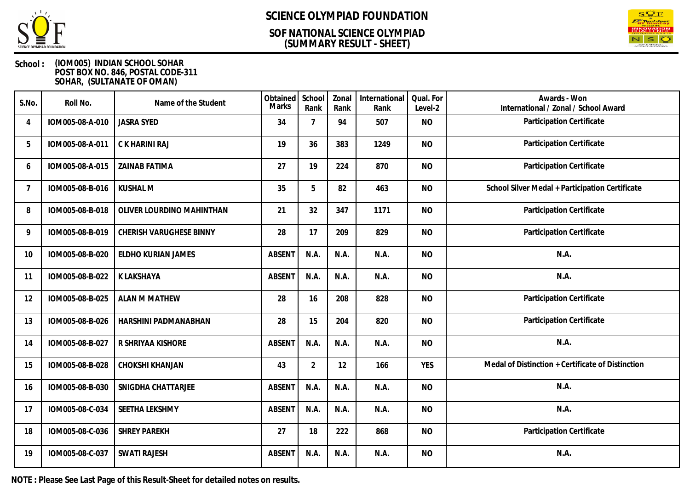

## **(SUMMARY RESULT - SHEET) SOF NATIONAL SCIENCE OLYMPIAD**



### **School : (IOM005) INDIAN SCHOOL SOHAR POST BOX NO. 846, POSTAL CODE-311 SOHAR, (SULTANATE OF OMAN)**

| S.No.          | Roll No.        | Name of the Student       | Obtained<br><b>Marks</b> | School<br>Rank | Zonal<br>Rank | International<br>Rank | Qual. For<br>Level-2 | Awards - Won<br>International / Zonal / School Award |
|----------------|-----------------|---------------------------|--------------------------|----------------|---------------|-----------------------|----------------------|------------------------------------------------------|
| 4              | IOM005-08-A-010 | <b>JASRA SYED</b>         | 34                       | 7              | 94            | 507                   | <b>NO</b>            | Participation Certificate                            |
| 5              | IOM005-08-A-011 | C K HARINI RAJ            | 19                       | 36             | 383           | 1249                  | <b>NO</b>            | Participation Certificate                            |
| 6              | IOM005-08-A-015 | <b>ZAINAB FATIMA</b>      | 27                       | 19             | 224           | 870                   | <b>NO</b>            | Participation Certificate                            |
| $\overline{7}$ | IOM005-08-B-016 | <b>KUSHAL M</b>           | 35                       | 5              | 82            | 463                   | <b>NO</b>            | School Silver Medal + Participation Certificate      |
| 8              | IOM005-08-B-018 | OLIVER LOURDINO MAHINTHAN | 21                       | 32             | 347           | 1171                  | <b>NO</b>            | Participation Certificate                            |
| 9              | IOM005-08-B-019 | CHERISH VARUGHESE BINNY   | 28                       | 17             | 209           | 829                   | <b>NO</b>            | Participation Certificate                            |
| 10             | IOM005-08-B-020 | ELDHO KURIAN JAMES        | <b>ABSENT</b>            | N.A.           | N.A.          | N.A.                  | <b>NO</b>            | N.A.                                                 |
| 11             | IOM005-08-B-022 | K LAKSHAYA                | <b>ABSENT</b>            | N.A.           | N.A.          | N.A.                  | <b>NO</b>            | N.A.                                                 |
| 12             | IOM005-08-B-025 | <b>ALAN M MATHEW</b>      | 28                       | 16             | 208           | 828                   | <b>NO</b>            | Participation Certificate                            |
| 13             | IOM005-08-B-026 | HARSHINI PADMANABHAN      | 28                       | 15             | 204           | 820                   | <b>NO</b>            | Participation Certificate                            |
| 14             | IOM005-08-B-027 | R SHRIYAA KISHORE         | <b>ABSENT</b>            | N.A.           | N.A.          | N.A.                  | <b>NO</b>            | N.A.                                                 |
| 15             | IOM005-08-B-028 | CHOKSHI KHANJAN           | 43                       | $\overline{2}$ | 12            | 166                   | <b>YES</b>           | Medal of Distinction + Certificate of Distinction    |
| 16             | IOM005-08-B-030 | SNIGDHA CHATTARJEE        | <b>ABSENT</b>            | N.A.           | N.A.          | N.A.                  | <b>NO</b>            | N.A.                                                 |
| 17             | IOM005-08-C-034 | SEETHA LEKSHMY            | <b>ABSENT</b>            | N.A.           | N.A.          | N.A.                  | <b>NO</b>            | N.A.                                                 |
| 18             | IOM005-08-C-036 | <b>SHREY PAREKH</b>       | 27                       | 18             | 222           | 868                   | <b>NO</b>            | Participation Certificate                            |
| 19             | IOM005-08-C-037 | <b>SWATI RAJESH</b>       | <b>ABSENT</b>            | N.A.           | N.A.          | N.A.                  | <b>NO</b>            | N.A.                                                 |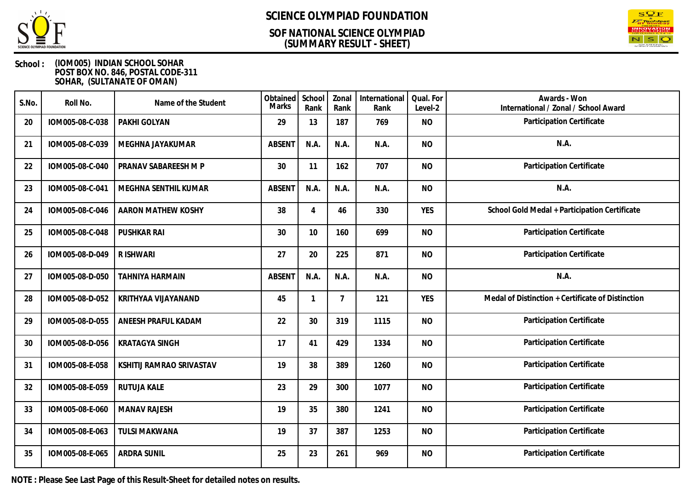

### **(SUMMARY RESULT - SHEET) SOF NATIONAL SCIENCE OLYMPIAD**



### **School : (IOM005) INDIAN SCHOOL SOHAR POST BOX NO. 846, POSTAL CODE-311 SOHAR, (SULTANATE OF OMAN)**

| S.No. | Roll No.        | Name of the Student      | Obtained<br><b>Marks</b> | School<br>Rank | Zonal<br>Rank  | International<br>Rank | Qual. For<br>Level-2 | Awards - Won<br>International / Zonal / School Award |
|-------|-----------------|--------------------------|--------------------------|----------------|----------------|-----------------------|----------------------|------------------------------------------------------|
| 20    | IOM005-08-C-038 | PAKHI GOLYAN             | 29                       | 13             | 187            | 769                   | <b>NO</b>            | Participation Certificate                            |
| 21    | IOM005-08-C-039 | MEGHNA JAYAKUMAR         | <b>ABSENT</b>            | N.A.           | N.A.           | N.A.                  | <b>NO</b>            | N.A.                                                 |
| 22    | IOM005-08-C-040 | PRANAV SABAREESH M P     | 30                       | 11             | 162            | 707                   | <b>NO</b>            | Participation Certificate                            |
| 23    | IOM005-08-C-041 | MEGHNA SENTHIL KUMAR     | <b>ABSENT</b>            | N.A.           | N.A.           | N.A.                  | <b>NO</b>            | N.A.                                                 |
| 24    | IOM005-08-C-046 | AARON MATHEW KOSHY       | 38                       | $\overline{4}$ | 46             | 330                   | <b>YES</b>           | School Gold Medal + Participation Certificate        |
| 25    | IOM005-08-C-048 | PUSHKAR RAI              | 30                       | 10             | 160            | 699                   | <b>NO</b>            | Participation Certificate                            |
| 26    | IOM005-08-D-049 | R ISHWARI                | 27                       | 20             | 225            | 871                   | <b>NO</b>            | Participation Certificate                            |
| 27    | IOM005-08-D-050 | TAHNIYA HARMAIN          | <b>ABSENT</b>            | N.A.           | N.A.           | N.A.                  | <b>NO</b>            | N.A.                                                 |
| 28    | IOM005-08-D-052 | KRITHYAA VIJAYANAND      | 45                       |                | $\overline{7}$ | 121                   | <b>YES</b>           | Medal of Distinction + Certificate of Distinction    |
| 29    | IOM005-08-D-055 | ANEESH PRAFUL KADAM      | 22                       | 30             | 319            | 1115                  | <b>NO</b>            | Participation Certificate                            |
| 30    | IOM005-08-D-056 | <b>KRATAGYA SINGH</b>    | 17                       | 41             | 429            | 1334                  | <b>NO</b>            | Participation Certificate                            |
| 31    | IOM005-08-E-058 | KSHITIJ RAMRAO SRIVASTAV | 19                       | 38             | 389            | 1260                  | <b>NO</b>            | Participation Certificate                            |
| 32    | IOM005-08-E-059 | RUTUJA KALE              | 23                       | 29             | 300            | 1077                  | <b>NO</b>            | Participation Certificate                            |
| 33    | IOM005-08-E-060 | <b>MANAV RAJESH</b>      | 19                       | 35             | 380            | 1241                  | <b>NO</b>            | Participation Certificate                            |
| 34    | IOM005-08-E-063 | <b>TULSI MAKWANA</b>     | 19                       | 37             | 387            | 1253                  | <b>NO</b>            | Participation Certificate                            |
| 35    | IOM005-08-E-065 | <b>ARDRA SUNIL</b>       | 25                       | 23             | 261            | 969                   | <b>NO</b>            | Participation Certificate                            |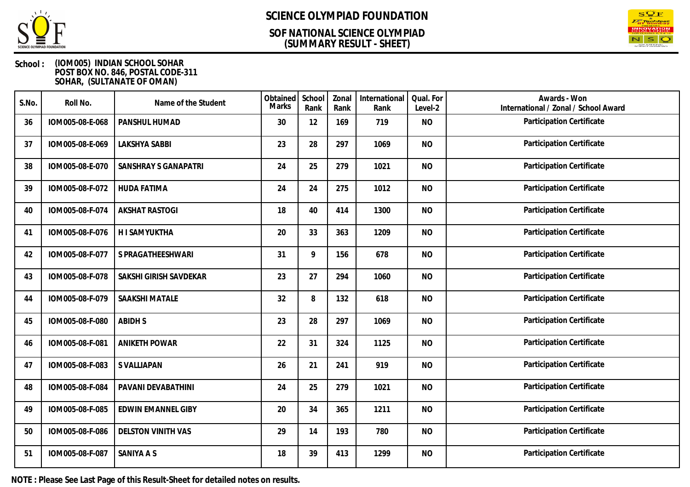

### **(SUMMARY RESULT - SHEET) SOF NATIONAL SCIENCE OLYMPIAD**



### **School : (IOM005) INDIAN SCHOOL SOHAR POST BOX NO. 846, POSTAL CODE-311 SOHAR, (SULTANATE OF OMAN)**

| S.No. | Roll No.        | Name of the Student       | Obtained<br><b>Marks</b> | School<br>Rank | Zonal<br>Rank | International<br>Rank | Qual. For<br>Level-2 | Awards - Won<br>International / Zonal / School Award |
|-------|-----------------|---------------------------|--------------------------|----------------|---------------|-----------------------|----------------------|------------------------------------------------------|
| 36    | IOM005-08-E-068 | PANSHUL HUMAD             | 30                       | 12             | 169           | 719                   | <b>NO</b>            | Participation Certificate                            |
| 37    | IOM005-08-E-069 | <b>LAKSHYA SABBI</b>      | 23                       | 28             | 297           | 1069                  | <b>NO</b>            | Participation Certificate                            |
| 38    | IOM005-08-E-070 | SANSHRAY S GANAPATRI      | 24                       | 25             | 279           | 1021                  | <b>NO</b>            | Participation Certificate                            |
| 39    | IOM005-08-F-072 | <b>HUDA FATIMA</b>        | 24                       | 24             | 275           | 1012                  | <b>NO</b>            | Participation Certificate                            |
| 40    | IOM005-08-F-074 | <b>AKSHAT RASTOGI</b>     | 18                       | 40             | 414           | 1300                  | <b>NO</b>            | Participation Certificate                            |
| 41    | IOM005-08-F-076 | <b>HISAMYUKTHA</b>        | 20                       | 33             | 363           | 1209                  | <b>NO</b>            | Participation Certificate                            |
| 42    | IOM005-08-F-077 | S PRAGATHEESHWARI         | 31                       | 9              | 156           | 678                   | <b>NO</b>            | Participation Certificate                            |
| 43    | IOM005-08-F-078 | SAKSHI GIRISH SAVDEKAR    | 23                       | 27             | 294           | 1060                  | <b>NO</b>            | Participation Certificate                            |
| 44    | IOM005-08-F-079 | SAAKSHI MATALE            | 32                       | 8              | 132           | 618                   | <b>NO</b>            | Participation Certificate                            |
| 45    | IOM005-08-F-080 | <b>ABIDHS</b>             | 23                       | 28             | 297           | 1069                  | <b>NO</b>            | Participation Certificate                            |
| 46    | IOM005-08-F-081 | <b>ANIKETH POWAR</b>      | 22                       | 31             | 324           | 1125                  | <b>NO</b>            | Participation Certificate                            |
| 47    | IOM005-08-F-083 | S VALLIAPAN               | 26                       | 21             | 241           | 919                   | <b>NO</b>            | Participation Certificate                            |
| 48    | IOM005-08-F-084 | PAVANI DEVABATHINI        | 24                       | 25             | 279           | 1021                  | <b>NO</b>            | Participation Certificate                            |
| 49    | IOM005-08-F-085 | <b>EDWIN EMANNEL GIBY</b> | 20                       | 34             | 365           | 1211                  | <b>NO</b>            | Participation Certificate                            |
| 50    | IOM005-08-F-086 | <b>DELSTON VINITH VAS</b> | 29                       | 14             | 193           | 780                   | <b>NO</b>            | Participation Certificate                            |
| 51    | IOM005-08-F-087 | SANIYA A S                | 18                       | 39             | 413           | 1299                  | <b>NO</b>            | Participation Certificate                            |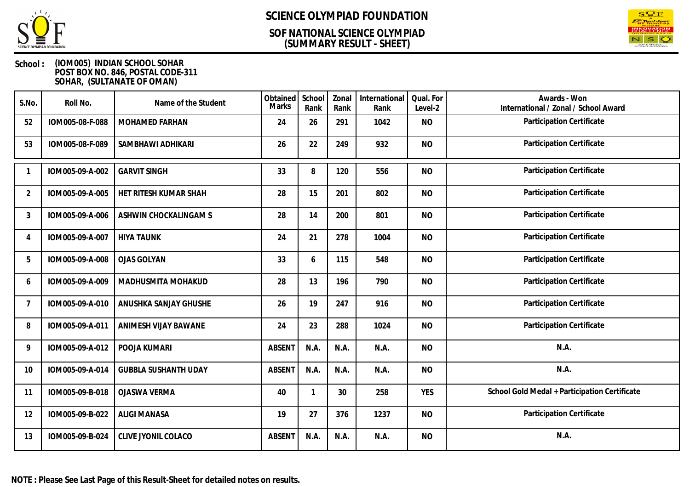

### **(SUMMARY RESULT - SHEET) SOF NATIONAL SCIENCE OLYMPIAD**



| S.No.          | Roll No.        | Name of the Student         | Obtained<br><b>Marks</b> | School<br>Rank | Zonal<br>Rank | International<br>Rank | Qual. For<br>Level-2 | Awards - Won<br>International / Zonal / School Award |
|----------------|-----------------|-----------------------------|--------------------------|----------------|---------------|-----------------------|----------------------|------------------------------------------------------|
| 52             | IOM005-08-F-088 | MOHAMED FARHAN              | 24                       | 26             | 291           | 1042                  | <b>NO</b>            | Participation Certificate                            |
| 53             | IOM005-08-F-089 | SAMBHAWI ADHIKARI           | 26                       | 22             | 249           | 932                   | <b>NO</b>            | Participation Certificate                            |
|                | IOM005-09-A-002 | <b>GARVIT SINGH</b>         | 33                       | 8              | 120           | 556                   | <b>NO</b>            | Participation Certificate                            |
| 2              | IOM005-09-A-005 | HET RITESH KUMAR SHAH       | 28                       | 15             | 201           | 802                   | <b>NO</b>            | Participation Certificate                            |
| 3              | IOM005-09-A-006 | ASHWIN CHOCKALINGAM S       | 28                       | 14             | 200           | 801                   | <b>NO</b>            | Participation Certificate                            |
| $\overline{4}$ | IOM005-09-A-007 | <b>HIYA TAUNK</b>           | 24                       | 21             | 278           | 1004                  | <b>NO</b>            | Participation Certificate                            |
| 5              | IOM005-09-A-008 | <b>OJAS GOLYAN</b>          | 33                       | 6              | 115           | 548                   | <b>NO</b>            | Participation Certificate                            |
| 6              | IOM005-09-A-009 | MADHUSMITA MOHAKUD          | 28                       | 13             | 196           | 790                   | <b>NO</b>            | Participation Certificate                            |
| 7              | IOM005-09-A-010 | ANUSHKA SANJAY GHUSHE       | 26                       | 19             | 247           | 916                   | <b>NO</b>            | Participation Certificate                            |
| 8              | IOM005-09-A-011 | ANIMESH VIJAY BAWANE        | 24                       | 23             | 288           | 1024                  | <b>NO</b>            | Participation Certificate                            |
| 9              | IOM005-09-A-012 | POOJA KUMARI                | <b>ABSENT</b>            | N.A.           | N.A.          | N.A.                  | <b>NO</b>            | N.A.                                                 |
| 10             | IOM005-09-A-014 | <b>GUBBLA SUSHANTH UDAY</b> | <b>ABSENT</b>            | N.A.           | N.A.          | N.A.                  | <b>NO</b>            | N.A.                                                 |
| 11             | IOM005-09-B-018 | <b>OJASWA VERMA</b>         | 40                       |                | 30            | 258                   | <b>YES</b>           | School Gold Medal + Participation Certificate        |
| 12             | IOM005-09-B-022 | <b>ALIGI MANASA</b>         | 19                       | 27             | 376           | 1237                  | <b>NO</b>            | Participation Certificate                            |
| 13             | IOM005-09-B-024 | CLIVE JYONIL COLACO         | <b>ABSENT</b>            | N.A.           | N.A.          | N.A.                  | <b>NO</b>            | N.A.                                                 |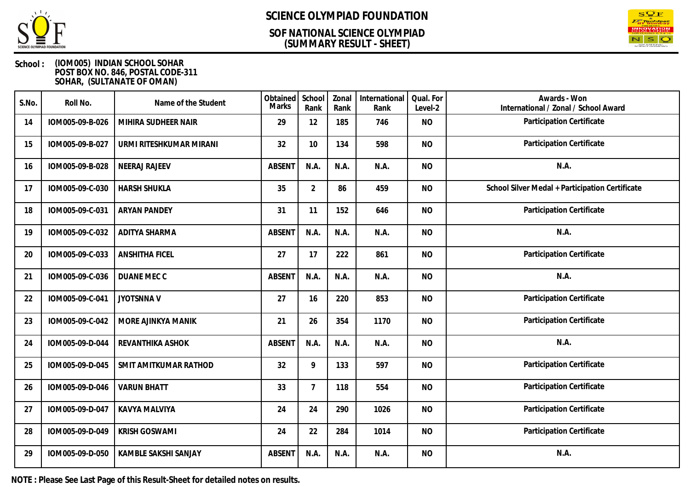

### **(SUMMARY RESULT - SHEET) SOF NATIONAL SCIENCE OLYMPIAD**



### **School : (IOM005) INDIAN SCHOOL SOHAR POST BOX NO. 846, POSTAL CODE-311 SOHAR, (SULTANATE OF OMAN)**

| S.No. | Roll No.        | Name of the Student     | Obtained<br>Marks | School<br>Rank | Zonal<br>Rank | International<br>Rank | Qual. For<br>Level-2 | Awards - Won<br>International / Zonal / School Award |
|-------|-----------------|-------------------------|-------------------|----------------|---------------|-----------------------|----------------------|------------------------------------------------------|
| 14    | IOM005-09-B-026 | MIHIRA SUDHEER NAIR     | 29                | 12             | 185           | 746                   | <b>NO</b>            | Participation Certificate                            |
| 15    | IOM005-09-B-027 | URMI RITESHKUMAR MIRANI | 32                | 10             | 134           | 598                   | <b>NO</b>            | Participation Certificate                            |
| 16    | IOM005-09-B-028 | <b>NEERAJ RAJEEV</b>    | <b>ABSENT</b>     | N.A.           | N.A.          | N.A.                  | <b>NO</b>            | N.A.                                                 |
| 17    | IOM005-09-C-030 | <b>HARSH SHUKLA</b>     | 35                | $\overline{2}$ | 86            | 459                   | <b>NO</b>            | School Silver Medal + Participation Certificate      |
| 18    | IOM005-09-C-031 | <b>ARYAN PANDEY</b>     | 31                | 11             | 152           | 646                   | <b>NO</b>            | Participation Certificate                            |
| 19    | IOM005-09-C-032 | ADITYA SHARMA           | <b>ABSENT</b>     | N.A.           | N.A.          | N.A.                  | <b>NO</b>            | N.A.                                                 |
| 20    | IOM005-09-C-033 | <b>ANSHITHA FICEL</b>   | 27                | 17             | 222           | 861                   | <b>NO</b>            | Participation Certificate                            |
| 21    | IOM005-09-C-036 | DUANE MEC C             | <b>ABSENT</b>     | N.A.           | N.A.          | N.A.                  | <b>NO</b>            | N.A.                                                 |
| 22    | IOM005-09-C-041 | <b>JYOTSNNAV</b>        | 27                | 16             | 220           | 853                   | <b>NO</b>            | Participation Certificate                            |
| 23    | IOM005-09-C-042 | MORE AJINKYA MANIK      | 21                | 26             | 354           | 1170                  | <b>NO</b>            | Participation Certificate                            |
| 24    | IOM005-09-D-044 | REVANTHIKA ASHOK        | <b>ABSENT</b>     | N.A.           | N.A.          | N.A.                  | <b>NO</b>            | N.A.                                                 |
| 25    | IOM005-09-D-045 | SMIT AMITKUMAR RATHOD   | 32                | 9              | 133           | 597                   | <b>NO</b>            | Participation Certificate                            |
| 26    | IOM005-09-D-046 | <b>VARUN BHATT</b>      | 33                | $\overline{7}$ | 118           | 554                   | <b>NO</b>            | Participation Certificate                            |
| 27    | IOM005-09-D-047 | <b>KAVYA MALVIYA</b>    | 24                | 24             | 290           | 1026                  | <b>NO</b>            | Participation Certificate                            |
| 28    | IOM005-09-D-049 | <b>KRISH GOSWAMI</b>    | 24                | 22             | 284           | 1014                  | <b>NO</b>            | Participation Certificate                            |
| 29    | IOM005-09-D-050 | KAMBLE SAKSHI SANJAY    | <b>ABSENT</b>     | N.A.           | N.A.          | N.A.                  | <b>NO</b>            | N.A.                                                 |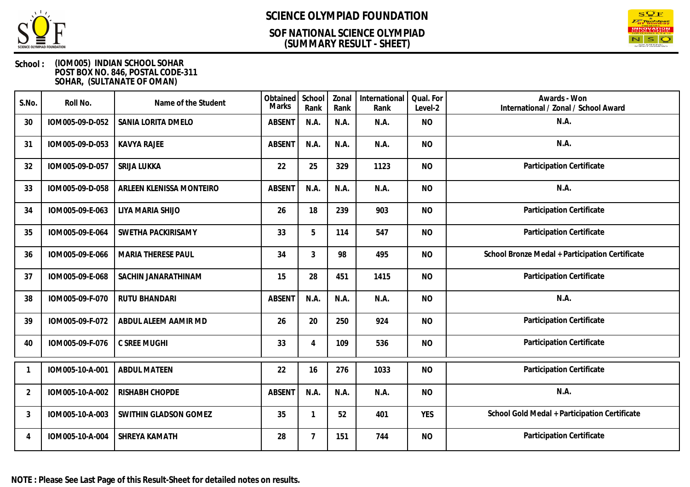

### **(SUMMARY RESULT - SHEET) SOF NATIONAL SCIENCE OLYMPIAD**



| S.No.          | Roll No.        | Name of the Student       | Obtained<br><b>Marks</b> | School<br>Rank | Zonal<br>Rank | International<br>Rank | Qual. For<br>Level-2 | Awards - Won<br>International / Zonal / School Award |
|----------------|-----------------|---------------------------|--------------------------|----------------|---------------|-----------------------|----------------------|------------------------------------------------------|
| 30             | IOM005-09-D-052 | SANIA LORITA DMELO        | <b>ABSENT</b>            | N.A.           | N.A.          | N.A.                  | <b>NO</b>            | N.A.                                                 |
| 31             | IOM005-09-D-053 | <b>KAVYA RAJEE</b>        | <b>ABSENT</b>            | N.A.           | N.A.          | N.A.                  | <b>NO</b>            | N.A.                                                 |
| 32             | IOM005-09-D-057 | SRIJA LUKKA               | 22                       | 25             | 329           | 1123                  | <b>NO</b>            | Participation Certificate                            |
| 33             | IOM005-09-D-058 | ARLEEN KLENISSA MONTEIRO  | <b>ABSENT</b>            | N.A.           | N.A.          | N.A.                  | <b>NO</b>            | N.A.                                                 |
| 34             | IOM005-09-E-063 | LIYA MARIA SHIJO          | 26                       | 18             | 239           | 903                   | <b>NO</b>            | Participation Certificate                            |
| 35             | IOM005-09-E-064 | SWETHA PACKIRISAMY        | 33                       | 5              | 114           | 547                   | <b>NO</b>            | Participation Certificate                            |
| 36             | IOM005-09-E-066 | <b>MARIA THERESE PAUL</b> | 34                       | 3              | 98            | 495                   | <b>NO</b>            | School Bronze Medal + Participation Certificate      |
| 37             | IOM005-09-E-068 | SACHIN JANARATHINAM       | 15                       | 28             | 451           | 1415                  | <b>NO</b>            | Participation Certificate                            |
| 38             | IOM005-09-F-070 | <b>RUTU BHANDARI</b>      | <b>ABSENT</b>            | N.A.           | N.A.          | N.A.                  | <b>NO</b>            | N.A.                                                 |
| 39             | IOM005-09-F-072 | ABDUL ALEEM AAMIR MD      | 26                       | 20             | 250           | 924                   | <b>NO</b>            | Participation Certificate                            |
| 40             | IOM005-09-F-076 | C SREE MUGHI              | 33                       | 4              | 109           | 536                   | <b>NO</b>            | Participation Certificate                            |
| 1              | IOM005-10-A-001 | <b>ABDUL MATEEN</b>       | 22                       | 16             | 276           | 1033                  | <b>NO</b>            | Participation Certificate                            |
| $\overline{2}$ | IOM005-10-A-002 | RISHABH CHOPDE            | <b>ABSENT</b>            | N.A.           | N.A.          | N.A.                  | <b>NO</b>            | N.A.                                                 |
| 3              | IOM005-10-A-003 | SWITHIN GLADSON GOMEZ     | 35                       |                | 52            | 401                   | <b>YES</b>           | School Gold Medal + Participation Certificate        |
| 4              | IOM005-10-A-004 | SHREYA KAMATH             | 28                       | 7              | 151           | 744                   | <b>NO</b>            | Participation Certificate                            |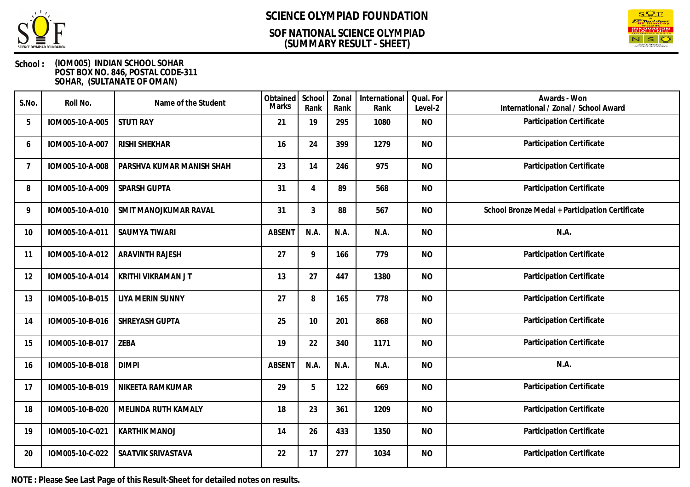

### **(SUMMARY RESULT - SHEET) SOF NATIONAL SCIENCE OLYMPIAD**



### **School : (IOM005) INDIAN SCHOOL SOHAR POST BOX NO. 846, POSTAL CODE-311 SOHAR, (SULTANATE OF OMAN)**

| S.No.          | Roll No.        | Name of the Student       | Obtained<br><b>Marks</b> | School<br>Rank | Zonal<br>Rank | International<br>Rank | Qual. For<br>Level-2 | Awards - Won<br>International / Zonal / School Award |
|----------------|-----------------|---------------------------|--------------------------|----------------|---------------|-----------------------|----------------------|------------------------------------------------------|
| 5              | IOM005-10-A-005 | <b>STUTI RAY</b>          | 21                       | 19             | 295           | 1080                  | <b>NO</b>            | Participation Certificate                            |
| 6              | IOM005-10-A-007 | <b>RISHI SHEKHAR</b>      | 16                       | 24             | 399           | 1279                  | <b>NO</b>            | Participation Certificate                            |
| $\overline{7}$ | IOM005-10-A-008 | PARSHVA KUMAR MANISH SHAH | 23                       | 14             | 246           | 975                   | <b>NO</b>            | Participation Certificate                            |
| 8              | IOM005-10-A-009 | SPARSH GUPTA              | 31                       | $\overline{4}$ | 89            | 568                   | <b>NO</b>            | Participation Certificate                            |
| 9              | IOM005-10-A-010 | SMIT MANOJKUMAR RAVAL     | 31                       | 3              | 88            | 567                   | <b>NO</b>            | School Bronze Medal + Participation Certificate      |
| 10             | IOM005-10-A-011 | <b>SAUMYA TIWARI</b>      | <b>ABSENT</b>            | N.A.           | N.A.          | N.A.                  | <b>NO</b>            | N.A.                                                 |
| 11             | IOM005-10-A-012 | <b>ARAVINTH RAJESH</b>    | 27                       | 9              | 166           | 779                   | <b>NO</b>            | Participation Certificate                            |
| 12             | IOM005-10-A-014 | KRITHI VIKRAMAN J T       | 13                       | 27             | 447           | 1380                  | <b>NO</b>            | Participation Certificate                            |
| 13             | IOM005-10-B-015 | <b>LIYA MERIN SUNNY</b>   | 27                       | 8              | 165           | 778                   | <b>NO</b>            | Participation Certificate                            |
| 14             | IOM005-10-B-016 | SHREYASH GUPTA            | 25                       | 10             | 201           | 868                   | <b>NO</b>            | Participation Certificate                            |
| 15             | IOM005-10-B-017 | ZEBA                      | 19                       | 22             | 340           | 1171                  | <b>NO</b>            | Participation Certificate                            |
| 16             | IOM005-10-B-018 | <b>DIMPI</b>              | <b>ABSENT</b>            | N.A.           | N.A.          | N.A.                  | <b>NO</b>            | N.A.                                                 |
| 17             | IOM005-10-B-019 | NIKEETA RAMKUMAR          | 29                       | 5              | 122           | 669                   | <b>NO</b>            | Participation Certificate                            |
| 18             | IOM005-10-B-020 | MELINDA RUTH KAMALY       | 18                       | 23             | 361           | 1209                  | <b>NO</b>            | Participation Certificate                            |
| 19             | IOM005-10-C-021 | <b>KARTHIK MANOJ</b>      | 14                       | 26             | 433           | 1350                  | <b>NO</b>            | Participation Certificate                            |
| 20             | IOM005-10-C-022 | SAATVIK SRIVASTAVA        | 22                       | 17             | 277           | 1034                  | <b>NO</b>            | Participation Certificate                            |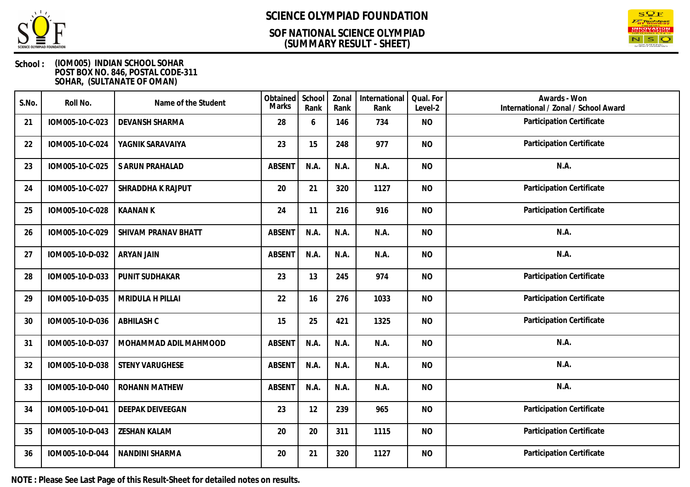

### **(SUMMARY RESULT - SHEET) SOF NATIONAL SCIENCE OLYMPIAD**



### **School : (IOM005) INDIAN SCHOOL SOHAR POST BOX NO. 846, POSTAL CODE-311 SOHAR, (SULTANATE OF OMAN)**

| S.No. | Roll No.        | Name of the Student     | Obtained<br>Marks | School<br>Rank | Zonal<br>Rank | International<br>Rank | Qual. For<br>Level-2 | Awards - Won<br>International / Zonal / School Award |
|-------|-----------------|-------------------------|-------------------|----------------|---------------|-----------------------|----------------------|------------------------------------------------------|
| 21    | IOM005-10-C-023 | DEVANSH SHARMA          | 28                | 6              | 146           | 734                   | <b>NO</b>            | Participation Certificate                            |
| 22    | IOM005-10-C-024 | YAGNIK SARAVAIYA        | 23                | 15             | 248           | 977                   | <b>NO</b>            | Participation Certificate                            |
| 23    | IOM005-10-C-025 | S ARUN PRAHALAD         | <b>ABSENT</b>     | N.A.           | N.A.          | N.A.                  | <b>NO</b>            | N.A.                                                 |
| 24    | IOM005-10-C-027 | SHRADDHA K RAJPUT       | 20                | 21             | 320           | 1127                  | <b>NO</b>            | Participation Certificate                            |
| 25    | IOM005-10-C-028 | <b>KAANAN K</b>         | 24                | 11             | 216           | 916                   | <b>NO</b>            | Participation Certificate                            |
| 26    | IOM005-10-C-029 | SHIVAM PRANAV BHATT     | <b>ABSENT</b>     | N.A.           | N.A.          | N.A.                  | <b>NO</b>            | N.A.                                                 |
| 27    | IOM005-10-D-032 | <b>ARYAN JAIN</b>       | <b>ABSENT</b>     | N.A.           | N.A.          | N.A.                  | <b>NO</b>            | N.A.                                                 |
| 28    | IOM005-10-D-033 | PUNIT SUDHAKAR          | 23                | 13             | 245           | 974                   | <b>NO</b>            | Participation Certificate                            |
| 29    | IOM005-10-D-035 | MRIDULA H PILLAI        | 22                | 16             | 276           | 1033                  | <b>NO</b>            | Participation Certificate                            |
| 30    | IOM005-10-D-036 | <b>ABHILASH C</b>       | 15                | 25             | 421           | 1325                  | <b>NO</b>            | Participation Certificate                            |
| 31    | IOM005-10-D-037 | MOHAMMAD ADIL MAHMOOD   | <b>ABSENT</b>     | N.A.           | N.A.          | N.A.                  | <b>NO</b>            | N.A.                                                 |
| 32    | IOM005-10-D-038 | <b>STENY VARUGHESE</b>  | <b>ABSENT</b>     | N.A.           | N.A.          | N.A.                  | <b>NO</b>            | N.A.                                                 |
| 33    | IOM005-10-D-040 | <b>ROHANN MATHEW</b>    | <b>ABSENT</b>     | N.A.           | N.A.          | N.A.                  | <b>NO</b>            | N.A.                                                 |
| 34    | IOM005-10-D-041 | <b>DEEPAK DEIVEEGAN</b> | 23                | 12             | 239           | 965                   | <b>NO</b>            | Participation Certificate                            |
| 35    | IOM005-10-D-043 | <b>ZESHAN KALAM</b>     | 20                | 20             | 311           | 1115                  | <b>NO</b>            | Participation Certificate                            |
| 36    | IOM005-10-D-044 | NANDINI SHARMA          | 20                | 21             | 320           | 1127                  | <b>NO</b>            | Participation Certificate                            |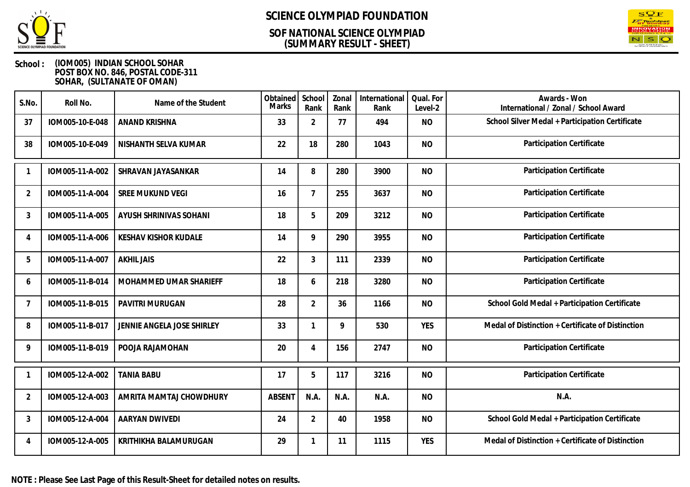

### **(SUMMARY RESULT - SHEET) SOF NATIONAL SCIENCE OLYMPIAD**



### **School : (IOM005) INDIAN SCHOOL SOHAR POST BOX NO. 846, POSTAL CODE-311 SOHAR, (SULTANATE OF OMAN)**

| S.No.          | Roll No.        | Name of the Student         | Obtained<br><b>Marks</b> | School<br>Rank | Zonal<br>Rank | International<br>Rank | Qual. For<br>Level-2 | Awards - Won<br>International / Zonal / School Award |
|----------------|-----------------|-----------------------------|--------------------------|----------------|---------------|-----------------------|----------------------|------------------------------------------------------|
| 37             | IOM005-10-E-048 | ANAND KRISHNA               | 33                       | $\overline{2}$ | 77            | 494                   | <b>NO</b>            | School Silver Medal + Participation Certificate      |
| 38             | IOM005-10-E-049 | NISHANTH SELVA KUMAR        | 22                       | 18             | 280           | 1043                  | <b>NO</b>            | Participation Certificate                            |
|                | IOM005-11-A-002 | SHRAVAN JAYASANKAR          | 14                       | 8              | 280           | 3900                  | <b>NO</b>            | Participation Certificate                            |
| $\overline{2}$ | IOM005-11-A-004 | <b>SREE MUKUND VEGI</b>     | 16                       | $\overline{7}$ | 255           | 3637                  | <b>NO</b>            | Participation Certificate                            |
| 3              | IOM005-11-A-005 | AYUSH SHRINIVAS SOHANI      | 18                       | 5              | 209           | 3212                  | <b>NO</b>            | Participation Certificate                            |
| 4              | IOM005-11-A-006 | <b>KESHAV KISHOR KUDALE</b> | 14                       | 9              | 290           | 3955                  | <b>NO</b>            | Participation Certificate                            |
| 5              | IOM005-11-A-007 | <b>AKHIL JAIS</b>           | 22                       | 3              | 111           | 2339                  | <b>NO</b>            | Participation Certificate                            |
| 6              | IOM005-11-B-014 | MOHAMMED UMAR SHARIEFF      | 18                       | 6              | 218           | 3280                  | <b>NO</b>            | Participation Certificate                            |
| -7             | IOM005-11-B-015 | PAVITRI MURUGAN             | 28                       | $\overline{2}$ | 36            | 1166                  | <b>NO</b>            | School Gold Medal + Participation Certificate        |
| 8              | IOM005-11-B-017 | JENNIE ANGELA JOSE SHIRLEY  | 33                       | 1              | 9             | 530                   | <b>YES</b>           | Medal of Distinction + Certificate of Distinction    |
| 9              | IOM005-11-B-019 | POOJA RAJAMOHAN             | 20                       | 4              | 156           | 2747                  | <b>NO</b>            | Participation Certificate                            |
|                | IOM005-12-A-002 | <b>TANIA BABU</b>           | 17                       | 5              | 117           | 3216                  | <b>NO</b>            | Participation Certificate                            |
| $\overline{2}$ | IOM005-12-A-003 | AMRITA MAMTAJ CHOWDHURY     | <b>ABSENT</b>            | N.A.           | N.A.          | N.A.                  | <b>NO</b>            | N.A.                                                 |
| 3              | IOM005-12-A-004 | AARYAN DWIVEDI              | 24                       | $\overline{2}$ | 40            | 1958                  | <b>NO</b>            | School Gold Medal + Participation Certificate        |
| 4              | IOM005-12-A-005 | KRITHIKHA BALAMURUGAN       | 29                       |                | 11            | 1115                  | <b>YES</b>           | Medal of Distinction + Certificate of Distinction    |